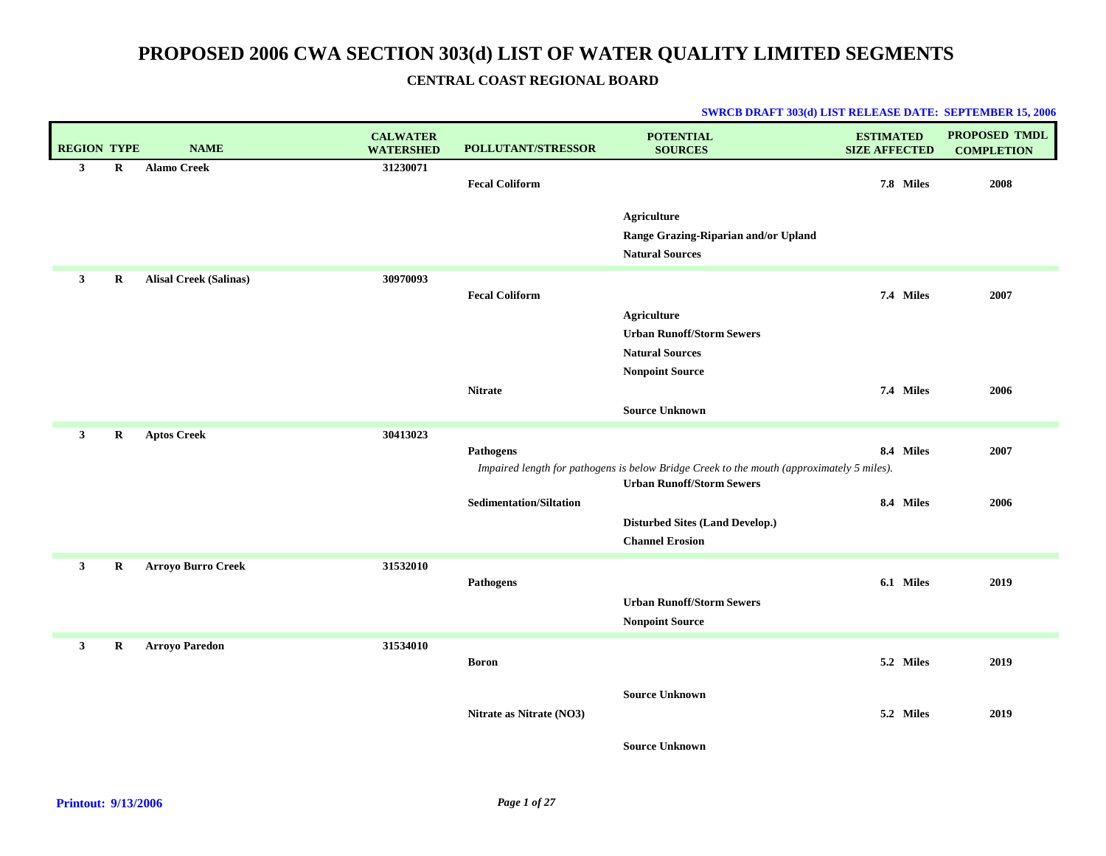| <b>REGION TYPE</b> |             | <b>NAME</b>                   | <b>CALWATER</b><br><b>WATERSHED</b> | <b>POLLUTANT/STRESSOR</b>      | <b>POTENTIAL</b><br><b>SOURCES</b>                                                                                            | <b>ESTIMATED</b><br><b>SIZE AFFECTED</b> | PROPOSED TMDL<br><b>COMPLETION</b> |
|--------------------|-------------|-------------------------------|-------------------------------------|--------------------------------|-------------------------------------------------------------------------------------------------------------------------------|------------------------------------------|------------------------------------|
| $\mathbf{3}$       | R           | <b>Alamo Creek</b>            | 31230071                            | <b>Fecal Coliform</b>          |                                                                                                                               | 7.8 Miles                                | 2008                               |
|                    |             |                               |                                     |                                | <b>Agriculture</b><br>Range Grazing-Riparian and/or Upland<br><b>Natural Sources</b>                                          |                                          |                                    |
| $\mathbf{3}$       | $\mathbf R$ | <b>Alisal Creek (Salinas)</b> | 30970093                            | <b>Fecal Coliform</b>          | <b>Agriculture</b><br><b>Urban Runoff/Storm Sewers</b><br><b>Natural Sources</b>                                              | 7.4 Miles                                | 2007                               |
|                    |             |                               |                                     | <b>Nitrate</b>                 | <b>Nonpoint Source</b><br><b>Source Unknown</b>                                                                               | 7.4 Miles                                | 2006                               |
| $\mathbf{3}$       | R           | <b>Aptos Creek</b>            | 30413023                            | Pathogens                      | Impaired length for pathogens is below Bridge Creek to the mouth (approximately 5 miles).<br><b>Urban Runoff/Storm Sewers</b> | 8.4 Miles                                | 2007                               |
|                    |             |                               |                                     | <b>Sedimentation/Siltation</b> | <b>Disturbed Sites (Land Develop.)</b><br><b>Channel Erosion</b>                                                              | 8.4 Miles                                | 2006                               |
| $\mathbf{3}$       | $\bf R$     | <b>Arroyo Burro Creek</b>     | 31532010                            | <b>Pathogens</b>               | <b>Urban Runoff/Storm Sewers</b><br><b>Nonpoint Source</b>                                                                    | 6.1 Miles                                | 2019                               |
| $\mathbf{3}$       | R           | <b>Arroyo Paredon</b>         | 31534010                            | <b>Boron</b>                   |                                                                                                                               | 5.2 Miles                                | 2019                               |
|                    |             |                               |                                     | Nitrate as Nitrate (NO3)       | <b>Source Unknown</b>                                                                                                         | 5.2 Miles                                | 2019                               |
|                    |             |                               |                                     |                                | <b>Source Unknown</b>                                                                                                         |                                          |                                    |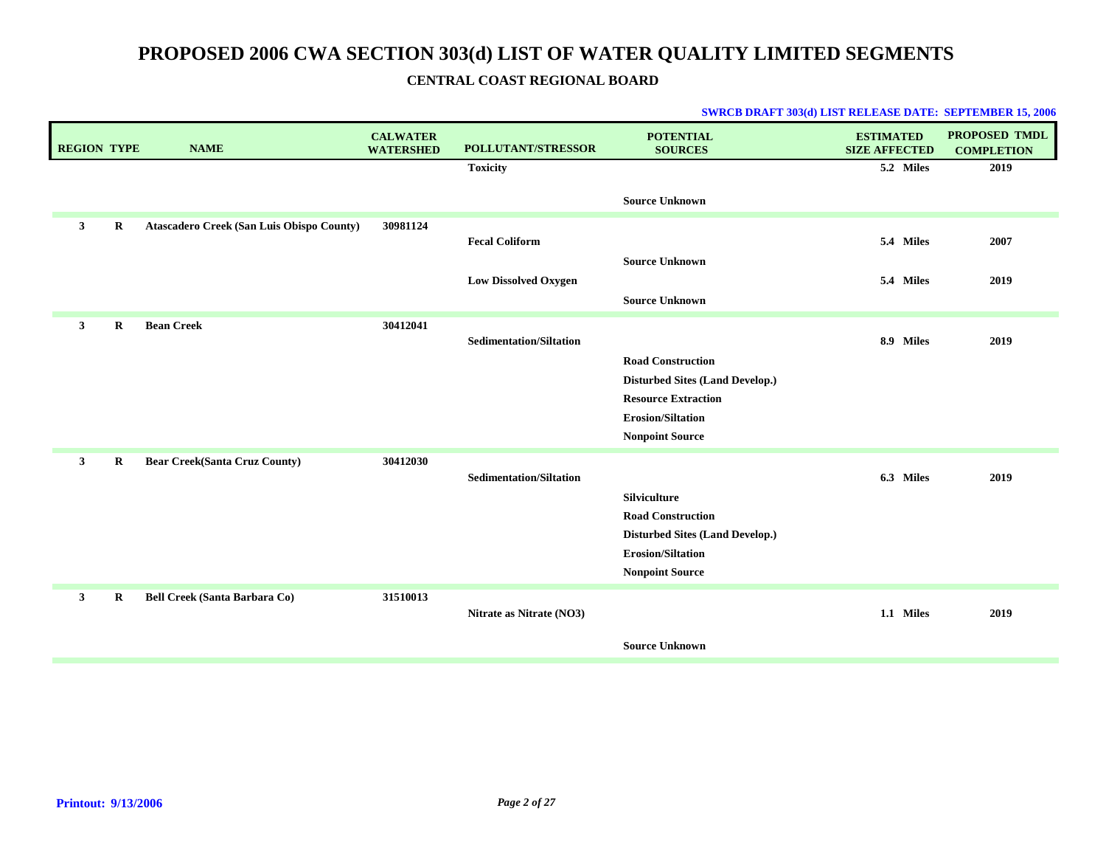| <b>REGION TYPE</b> |             | <b>NAME</b>                               | <b>CALWATER</b><br><b>WATERSHED</b> | POLLUTANT/STRESSOR             | <b>POTENTIAL</b><br><b>SOURCES</b>                                 | <b>ESTIMATED</b><br><b>SIZE AFFECTED</b> | <b>PROPOSED TMDL</b><br><b>COMPLETION</b> |
|--------------------|-------------|-------------------------------------------|-------------------------------------|--------------------------------|--------------------------------------------------------------------|------------------------------------------|-------------------------------------------|
|                    |             |                                           |                                     | <b>Toxicity</b>                |                                                                    | 5.2 Miles                                | 2019                                      |
|                    |             |                                           |                                     |                                | <b>Source Unknown</b>                                              |                                          |                                           |
| $\mathbf{3}$       | $\mathbf R$ | Atascadero Creek (San Luis Obispo County) | 30981124                            |                                |                                                                    |                                          |                                           |
|                    |             |                                           |                                     | <b>Fecal Coliform</b>          |                                                                    | 5.4 Miles                                | 2007                                      |
|                    |             |                                           |                                     | <b>Low Dissolved Oxygen</b>    | <b>Source Unknown</b>                                              | 5.4 Miles                                | 2019                                      |
|                    |             |                                           |                                     |                                | <b>Source Unknown</b>                                              |                                          |                                           |
|                    |             |                                           |                                     |                                |                                                                    |                                          |                                           |
| $\mathbf{3}$       | $\bf{R}$    | <b>Bean Creek</b>                         | 30412041                            | <b>Sedimentation/Siltation</b> |                                                                    | 8.9 Miles                                | 2019                                      |
|                    |             |                                           |                                     |                                | <b>Road Construction</b>                                           |                                          |                                           |
|                    |             |                                           |                                     |                                | <b>Disturbed Sites (Land Develop.)</b>                             |                                          |                                           |
|                    |             |                                           |                                     |                                | <b>Resource Extraction</b>                                         |                                          |                                           |
|                    |             |                                           |                                     |                                | <b>Erosion/Siltation</b>                                           |                                          |                                           |
|                    |             |                                           |                                     |                                | <b>Nonpoint Source</b>                                             |                                          |                                           |
| $\mathbf{3}$       | R           | <b>Bear Creek(Santa Cruz County)</b>      | 30412030                            |                                |                                                                    |                                          |                                           |
|                    |             |                                           |                                     | <b>Sedimentation/Siltation</b> |                                                                    | 6.3 Miles                                | 2019                                      |
|                    |             |                                           |                                     |                                | <b>Silviculture</b>                                                |                                          |                                           |
|                    |             |                                           |                                     |                                | <b>Road Construction</b>                                           |                                          |                                           |
|                    |             |                                           |                                     |                                | <b>Disturbed Sites (Land Develop.)</b><br><b>Erosion/Siltation</b> |                                          |                                           |
|                    |             |                                           |                                     |                                | <b>Nonpoint Source</b>                                             |                                          |                                           |
| $\mathbf{3}$       | R           | Bell Creek (Santa Barbara Co)             | 31510013                            |                                |                                                                    |                                          |                                           |
|                    |             |                                           |                                     | Nitrate as Nitrate (NO3)       |                                                                    | 1.1 Miles                                | 2019                                      |
|                    |             |                                           |                                     |                                |                                                                    |                                          |                                           |
|                    |             |                                           |                                     |                                | <b>Source Unknown</b>                                              |                                          |                                           |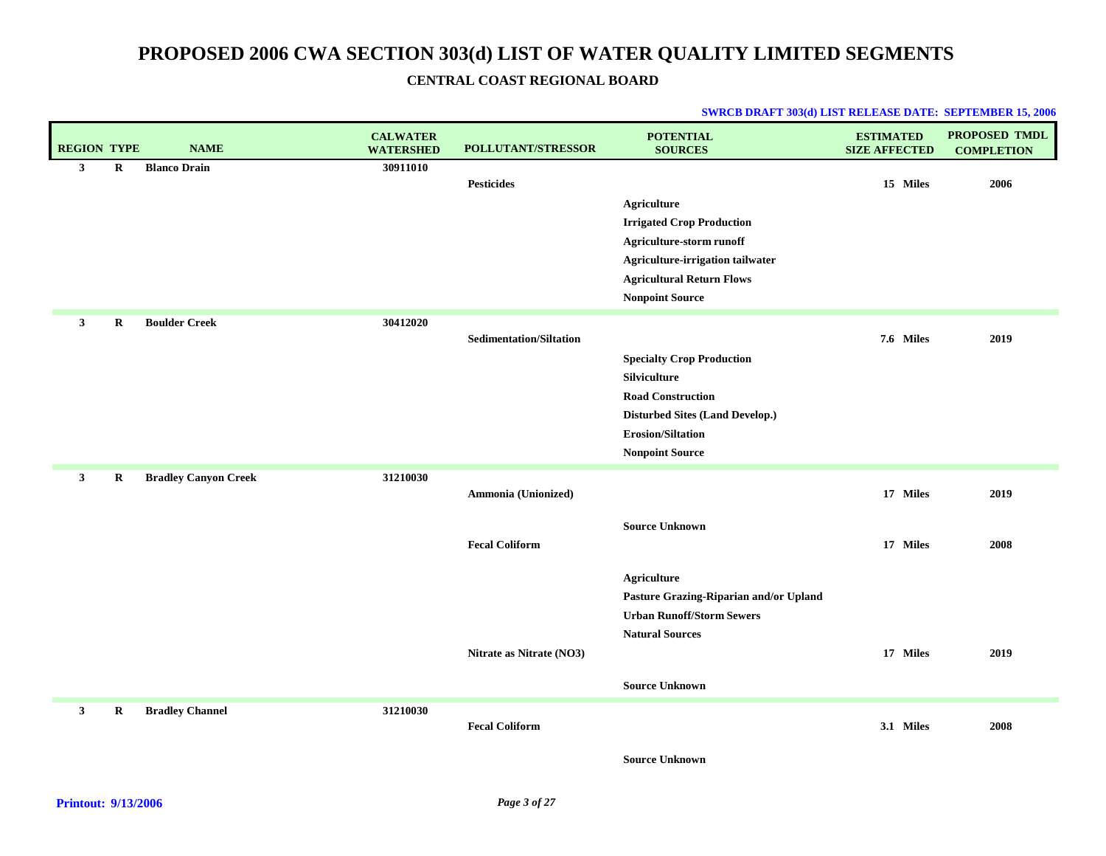| <b>REGION TYPE</b> |         | <b>NAME</b>                 | <b>CALWATER</b><br><b>WATERSHED</b> | POLLUTANT/STRESSOR             | <b>POTENTIAL</b><br><b>SOURCES</b>     | <b>ESTIMATED</b><br><b>SIZE AFFECTED</b> | <b>PROPOSED TMDL</b><br><b>COMPLETION</b> |
|--------------------|---------|-----------------------------|-------------------------------------|--------------------------------|----------------------------------------|------------------------------------------|-------------------------------------------|
| $\mathbf{3}$       | $\bf R$ | <b>Blanco Drain</b>         | 30911010                            | <b>Pesticides</b>              |                                        | 15 Miles                                 | 2006                                      |
|                    |         |                             |                                     |                                | <b>Agriculture</b>                     |                                          |                                           |
|                    |         |                             |                                     |                                | <b>Irrigated Crop Production</b>       |                                          |                                           |
|                    |         |                             |                                     |                                | Agriculture-storm runoff               |                                          |                                           |
|                    |         |                             |                                     |                                | Agriculture-irrigation tailwater       |                                          |                                           |
|                    |         |                             |                                     |                                | <b>Agricultural Return Flows</b>       |                                          |                                           |
|                    |         |                             |                                     |                                | <b>Nonpoint Source</b>                 |                                          |                                           |
| $\mathbf{3}$       | R       | <b>Boulder Creek</b>        | 30412020                            | <b>Sedimentation/Siltation</b> |                                        | 7.6 Miles                                | 2019                                      |
|                    |         |                             |                                     |                                | <b>Specialty Crop Production</b>       |                                          |                                           |
|                    |         |                             |                                     |                                | Silviculture                           |                                          |                                           |
|                    |         |                             |                                     |                                | <b>Road Construction</b>               |                                          |                                           |
|                    |         |                             |                                     |                                | <b>Disturbed Sites (Land Develop.)</b> |                                          |                                           |
|                    |         |                             |                                     |                                | <b>Erosion/Siltation</b>               |                                          |                                           |
|                    |         |                             |                                     |                                | <b>Nonpoint Source</b>                 |                                          |                                           |
| $\mathbf{3}$       | $\bf R$ | <b>Bradley Canyon Creek</b> | 31210030                            | Ammonia (Unionized)            |                                        | 17 Miles                                 | 2019                                      |
|                    |         |                             |                                     |                                |                                        |                                          |                                           |
|                    |         |                             |                                     |                                | <b>Source Unknown</b>                  |                                          |                                           |
|                    |         |                             |                                     | <b>Fecal Coliform</b>          |                                        | 17 Miles                                 | 2008                                      |
|                    |         |                             |                                     |                                | <b>Agriculture</b>                     |                                          |                                           |
|                    |         |                             |                                     |                                | Pasture Grazing-Riparian and/or Upland |                                          |                                           |
|                    |         |                             |                                     |                                | <b>Urban Runoff/Storm Sewers</b>       |                                          |                                           |
|                    |         |                             |                                     |                                | <b>Natural Sources</b>                 |                                          |                                           |
|                    |         |                             |                                     | Nitrate as Nitrate (NO3)       |                                        | 17 Miles                                 | 2019                                      |
|                    |         |                             |                                     |                                | <b>Source Unknown</b>                  |                                          |                                           |
| $\mathbf{3}$       | R       | <b>Bradley Channel</b>      | 31210030                            | <b>Fecal Coliform</b>          |                                        | 3.1 Miles                                | 2008                                      |
|                    |         |                             |                                     |                                |                                        |                                          |                                           |
|                    |         |                             |                                     |                                | <b>Source Unknown</b>                  |                                          |                                           |
|                    |         |                             |                                     |                                |                                        |                                          |                                           |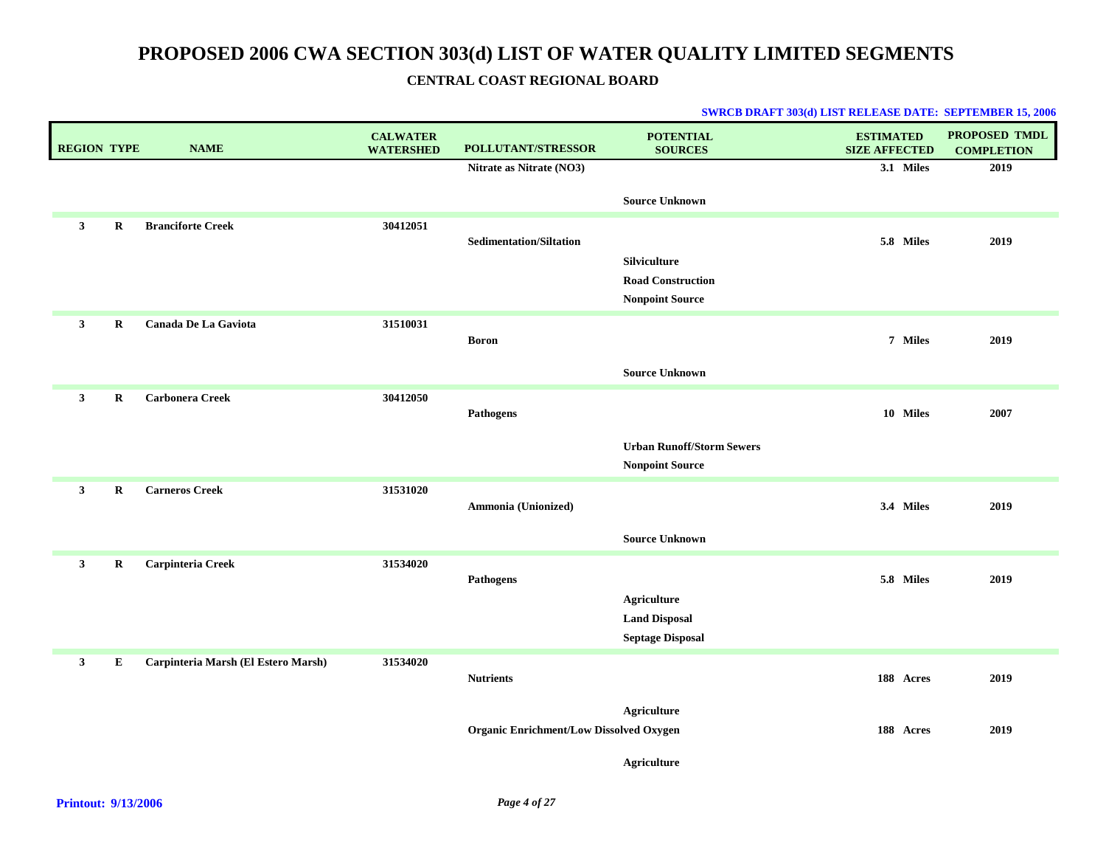| <b>REGION TYPE</b> |             | <b>NAME</b>                         | <b>CALWATER</b><br><b>WATERSHED</b> | POLLUTANT/STRESSOR                             | <b>POTENTIAL</b><br><b>SOURCES</b>                 | <b>ESTIMATED</b><br><b>SIZE AFFECTED</b> | <b>PROPOSED TMDL</b><br><b>COMPLETION</b> |
|--------------------|-------------|-------------------------------------|-------------------------------------|------------------------------------------------|----------------------------------------------------|------------------------------------------|-------------------------------------------|
|                    |             |                                     |                                     | Nitrate as Nitrate (NO3)                       |                                                    | 3.1 Miles                                | 2019                                      |
|                    |             |                                     |                                     |                                                | <b>Source Unknown</b>                              |                                          |                                           |
| $\mathbf{3}$       | $\bf R$     | <b>Branciforte Creek</b>            | 30412051                            |                                                |                                                    |                                          |                                           |
|                    |             |                                     |                                     | <b>Sedimentation/Siltation</b>                 |                                                    | 5.8 Miles                                | 2019                                      |
|                    |             |                                     |                                     |                                                | Silviculture                                       |                                          |                                           |
|                    |             |                                     |                                     |                                                | <b>Road Construction</b><br><b>Nonpoint Source</b> |                                          |                                           |
|                    |             |                                     |                                     |                                                |                                                    |                                          |                                           |
| $\mathbf{3}$       | $\bf R$     | Canada De La Gaviota                | 31510031                            | <b>Boron</b>                                   |                                                    | 7 Miles                                  | 2019                                      |
|                    |             |                                     |                                     |                                                |                                                    |                                          |                                           |
|                    |             |                                     |                                     |                                                | <b>Source Unknown</b>                              |                                          |                                           |
| $\mathbf{3}$       | $\bf R$     | <b>Carbonera Creek</b>              | 30412050                            |                                                |                                                    |                                          |                                           |
|                    |             |                                     |                                     | <b>Pathogens</b>                               |                                                    | 10 Miles                                 | 2007                                      |
|                    |             |                                     |                                     |                                                | <b>Urban Runoff/Storm Sewers</b>                   |                                          |                                           |
|                    |             |                                     |                                     |                                                | <b>Nonpoint Source</b>                             |                                          |                                           |
| $\mathbf{3}$       | $\bf R$     | <b>Carneros Creek</b>               | 31531020                            |                                                |                                                    |                                          |                                           |
|                    |             |                                     |                                     | Ammonia (Unionized)                            |                                                    | 3.4 Miles                                | 2019                                      |
|                    |             |                                     |                                     |                                                |                                                    |                                          |                                           |
|                    |             |                                     |                                     |                                                | <b>Source Unknown</b>                              |                                          |                                           |
| $\mathbf{3}$       | $\mathbf R$ | Carpinteria Creek                   | 31534020                            |                                                |                                                    |                                          |                                           |
|                    |             |                                     |                                     | Pathogens                                      |                                                    | 5.8 Miles                                | 2019                                      |
|                    |             |                                     |                                     |                                                | <b>Agriculture</b><br><b>Land Disposal</b>         |                                          |                                           |
|                    |             |                                     |                                     |                                                | <b>Septage Disposal</b>                            |                                          |                                           |
|                    |             |                                     |                                     |                                                |                                                    |                                          |                                           |
| $\mathbf{3}$       | ${\bf E}$   | Carpinteria Marsh (El Estero Marsh) | 31534020                            | <b>Nutrients</b>                               |                                                    | 188 Acres                                | 2019                                      |
|                    |             |                                     |                                     |                                                |                                                    |                                          |                                           |
|                    |             |                                     |                                     |                                                | <b>Agriculture</b>                                 |                                          |                                           |
|                    |             |                                     |                                     | <b>Organic Enrichment/Low Dissolved Oxygen</b> |                                                    | 188 Acres                                | 2019                                      |
|                    |             |                                     |                                     |                                                | <b>Agriculture</b>                                 |                                          |                                           |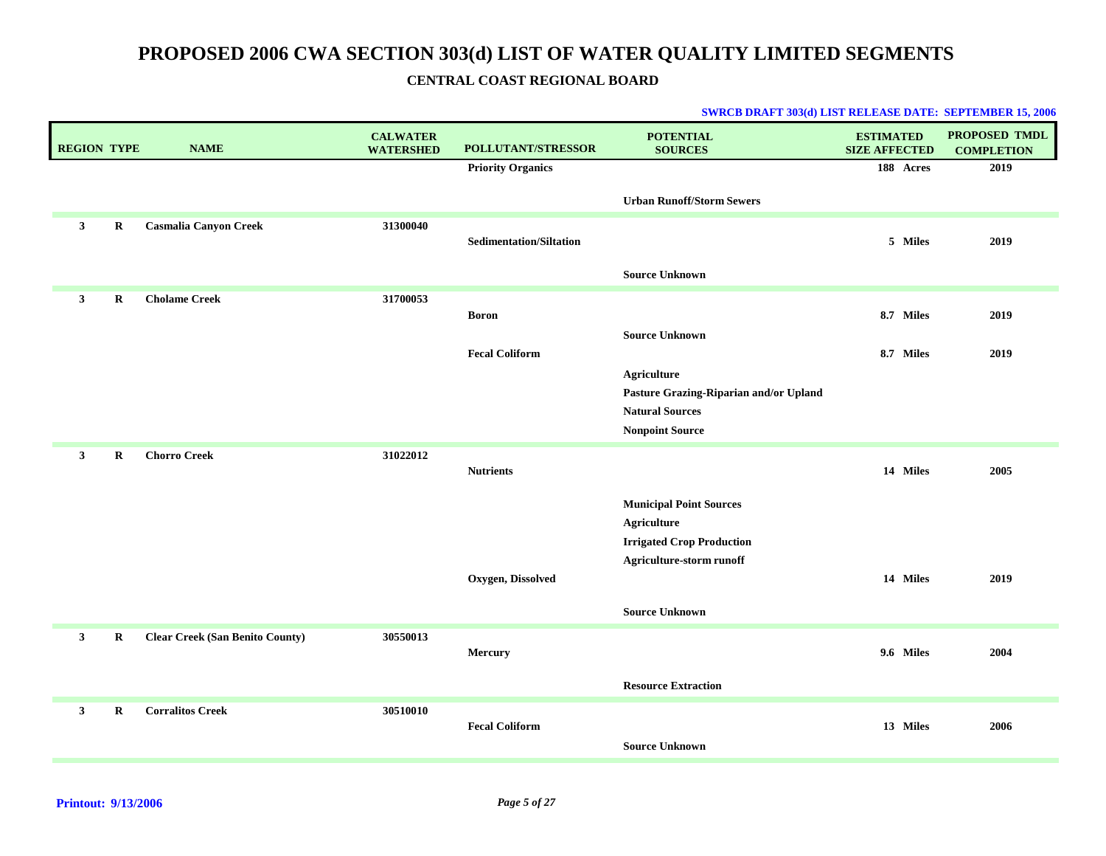| <b>REGION TYPE</b> |             | <b>NAME</b>                            | <b>CALWATER</b><br><b>WATERSHED</b> | <b>POLLUTANT/STRESSOR</b>      | <b>POTENTIAL</b><br><b>SOURCES</b>     | <b>ESTIMATED</b><br><b>SIZE AFFECTED</b> | <b>PROPOSED TMDL</b><br><b>COMPLETION</b> |
|--------------------|-------------|----------------------------------------|-------------------------------------|--------------------------------|----------------------------------------|------------------------------------------|-------------------------------------------|
|                    |             |                                        |                                     | <b>Priority Organics</b>       |                                        | 188 Acres                                | 2019                                      |
|                    |             |                                        |                                     |                                | <b>Urban Runoff/Storm Sewers</b>       |                                          |                                           |
| $\mathbf{3}$       | $\bf R$     | <b>Casmalia Canyon Creek</b>           | 31300040                            | <b>Sedimentation/Siltation</b> |                                        | 5 Miles                                  | 2019                                      |
|                    |             |                                        |                                     |                                |                                        |                                          |                                           |
|                    |             |                                        |                                     |                                | <b>Source Unknown</b>                  |                                          |                                           |
| $\mathbf{3}$       | $\mathbf R$ | <b>Cholame Creek</b>                   | 31700053                            |                                |                                        | 8.7 Miles                                | 2019                                      |
|                    |             |                                        |                                     | <b>Boron</b>                   | <b>Source Unknown</b>                  |                                          |                                           |
|                    |             |                                        |                                     | <b>Fecal Coliform</b>          |                                        | 8.7 Miles                                | 2019                                      |
|                    |             |                                        |                                     |                                | <b>Agriculture</b>                     |                                          |                                           |
|                    |             |                                        |                                     |                                | Pasture Grazing-Riparian and/or Upland |                                          |                                           |
|                    |             |                                        |                                     |                                | <b>Natural Sources</b>                 |                                          |                                           |
|                    |             |                                        |                                     |                                | <b>Nonpoint Source</b>                 |                                          |                                           |
| $\mathbf{3}$       | $\mathbf R$ | <b>Chorro Creek</b>                    | 31022012                            | <b>Nutrients</b>               |                                        | 14 Miles                                 | 2005                                      |
|                    |             |                                        |                                     |                                | <b>Municipal Point Sources</b>         |                                          |                                           |
|                    |             |                                        |                                     |                                | Agriculture                            |                                          |                                           |
|                    |             |                                        |                                     |                                | <b>Irrigated Crop Production</b>       |                                          |                                           |
|                    |             |                                        |                                     | Oxygen, Dissolved              | Agriculture-storm runoff               | 14 Miles                                 | 2019                                      |
|                    |             |                                        |                                     |                                |                                        |                                          |                                           |
|                    |             |                                        |                                     |                                | <b>Source Unknown</b>                  |                                          |                                           |
| 3                  | R           | <b>Clear Creek (San Benito County)</b> | 30550013                            |                                |                                        |                                          |                                           |
|                    |             |                                        |                                     | Mercury                        |                                        | 9.6 Miles                                | 2004                                      |
|                    |             |                                        |                                     |                                | <b>Resource Extraction</b>             |                                          |                                           |
| $\mathbf{3}$       | $\bf R$     | <b>Corralitos Creek</b>                | 30510010                            |                                |                                        |                                          |                                           |
|                    |             |                                        |                                     | <b>Fecal Coliform</b>          |                                        | 13 Miles                                 | 2006                                      |
|                    |             |                                        |                                     |                                | <b>Source Unknown</b>                  |                                          |                                           |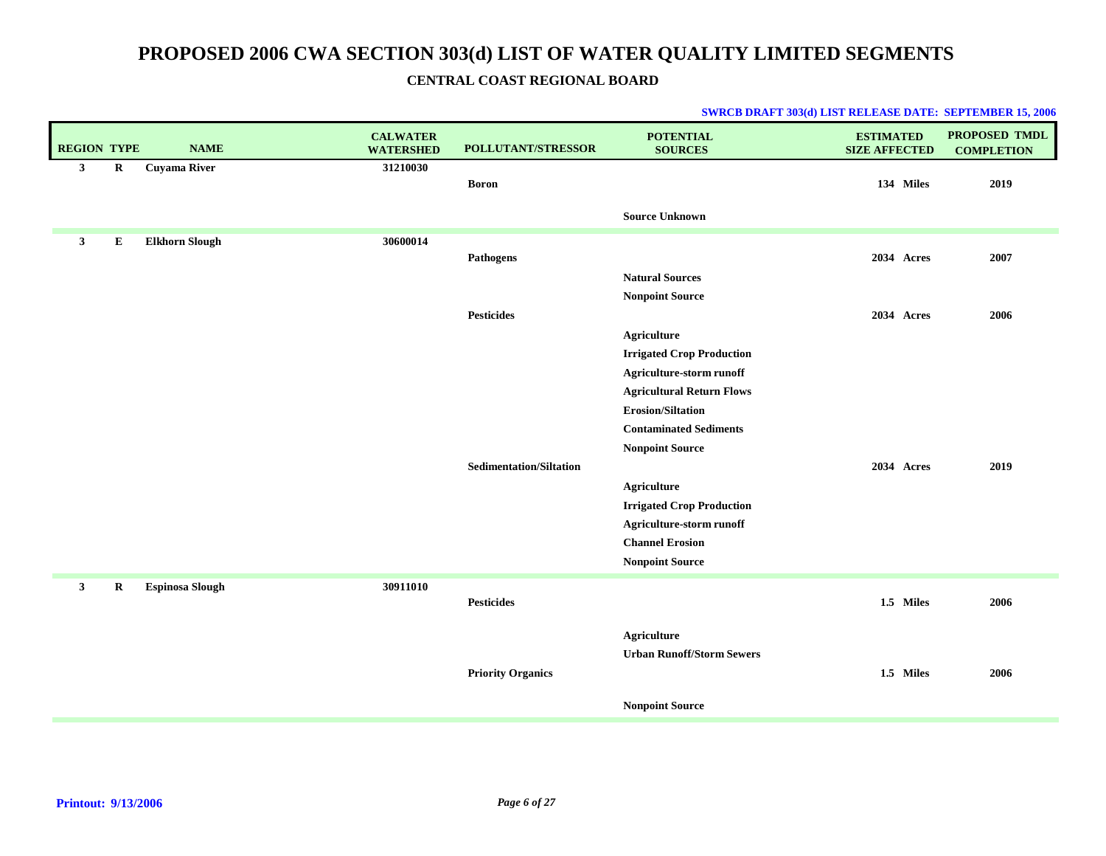|  |  | <b>SWRCB DRAFT 303(d) LIST RELEASE DATE: SEPTEMBER 15, 2006</b> |
|--|--|-----------------------------------------------------------------|
|--|--|-----------------------------------------------------------------|

| <b>REGION TYPE</b> |             | <b>NAME</b>            | <b>CALWATER</b><br><b>WATERSHED</b> | POLLUTANT/STRESSOR             | <b>POTENTIAL</b><br><b>SOURCES</b>                 | <b>ESTIMATED</b><br><b>SIZE AFFECTED</b> | <b>PROPOSED TMDL</b><br><b>COMPLETION</b> |
|--------------------|-------------|------------------------|-------------------------------------|--------------------------------|----------------------------------------------------|------------------------------------------|-------------------------------------------|
| $\mathbf{3}$       | $\mathbf R$ | <b>Cuyama River</b>    | 31210030                            | <b>Boron</b>                   |                                                    | 134 Miles                                | 2019                                      |
|                    |             |                        |                                     |                                | <b>Source Unknown</b>                              |                                          |                                           |
| 3                  | E           | <b>Elkhorn Slough</b>  | 30600014                            |                                |                                                    |                                          |                                           |
|                    |             |                        |                                     | Pathogens                      |                                                    | 2034 Acres                               | 2007                                      |
|                    |             |                        |                                     |                                | <b>Natural Sources</b>                             |                                          |                                           |
|                    |             |                        |                                     |                                | <b>Nonpoint Source</b>                             |                                          |                                           |
|                    |             |                        |                                     | <b>Pesticides</b>              |                                                    | 2034 Acres                               | 2006                                      |
|                    |             |                        |                                     |                                | <b>Agriculture</b>                                 |                                          |                                           |
|                    |             |                        |                                     |                                | <b>Irrigated Crop Production</b>                   |                                          |                                           |
|                    |             |                        |                                     |                                | Agriculture-storm runoff                           |                                          |                                           |
|                    |             |                        |                                     |                                | <b>Agricultural Return Flows</b>                   |                                          |                                           |
|                    |             |                        |                                     |                                | <b>Erosion/Siltation</b>                           |                                          |                                           |
|                    |             |                        |                                     |                                | <b>Contaminated Sediments</b>                      |                                          |                                           |
|                    |             |                        |                                     |                                | <b>Nonpoint Source</b>                             |                                          |                                           |
|                    |             |                        |                                     | <b>Sedimentation/Siltation</b> |                                                    | 2034 Acres                               | 2019                                      |
|                    |             |                        |                                     |                                | <b>Agriculture</b>                                 |                                          |                                           |
|                    |             |                        |                                     |                                | <b>Irrigated Crop Production</b>                   |                                          |                                           |
|                    |             |                        |                                     |                                | Agriculture-storm runoff<br><b>Channel Erosion</b> |                                          |                                           |
|                    |             |                        |                                     |                                | <b>Nonpoint Source</b>                             |                                          |                                           |
|                    |             |                        |                                     |                                |                                                    |                                          |                                           |
| $\mathbf{3}$       | $\mathbf R$ | <b>Espinosa Slough</b> | 30911010                            |                                |                                                    |                                          |                                           |
|                    |             |                        |                                     | <b>Pesticides</b>              |                                                    | 1.5 Miles                                | 2006                                      |
|                    |             |                        |                                     |                                | <b>Agriculture</b>                                 |                                          |                                           |
|                    |             |                        |                                     |                                | <b>Urban Runoff/Storm Sewers</b>                   |                                          |                                           |
|                    |             |                        |                                     | <b>Priority Organics</b>       |                                                    | 1.5 Miles                                | 2006                                      |
|                    |             |                        |                                     |                                |                                                    |                                          |                                           |
|                    |             |                        |                                     |                                | <b>Nonpoint Source</b>                             |                                          |                                           |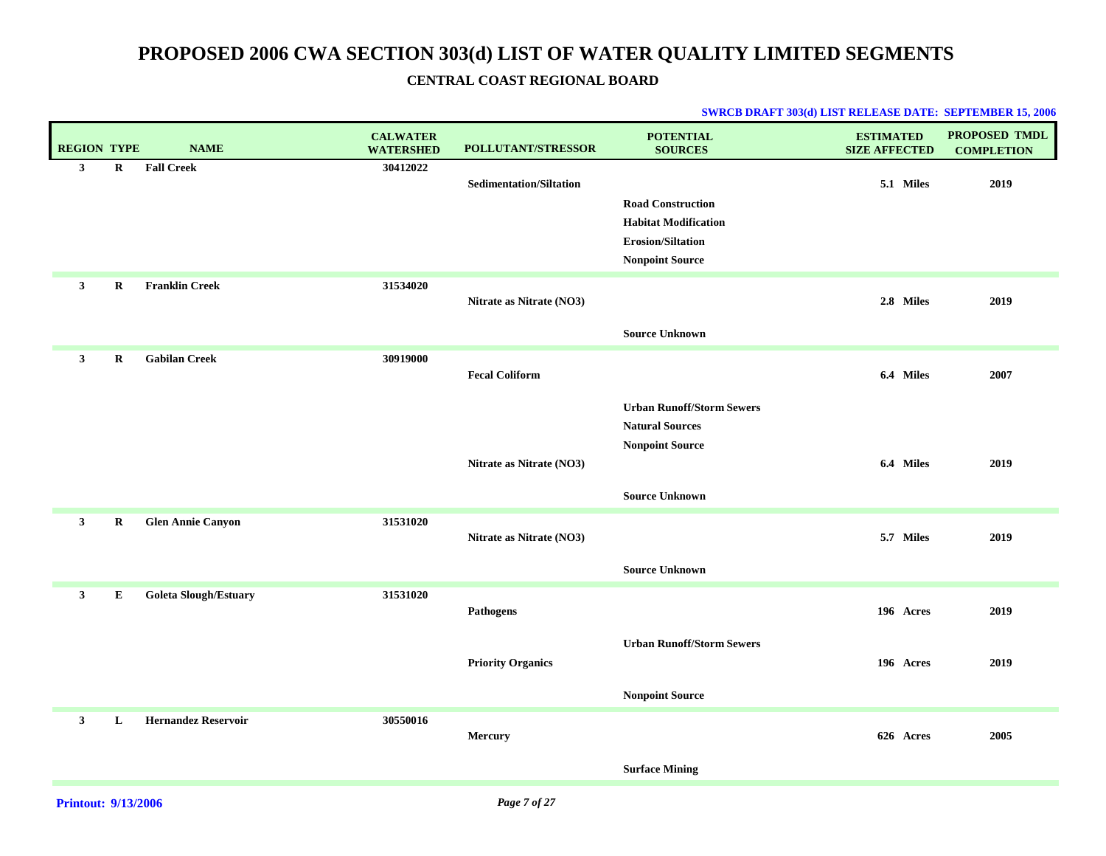| <b>REGION TYPE</b> |             | <b>NAME</b>                  | <b>CALWATER</b><br><b>WATERSHED</b> | <b>POLLUTANT/STRESSOR</b>      | <b>POTENTIAL</b><br><b>SOURCES</b> | <b>ESTIMATED</b><br><b>SIZE AFFECTED</b> | PROPOSED TMDL<br><b>COMPLETION</b> |
|--------------------|-------------|------------------------------|-------------------------------------|--------------------------------|------------------------------------|------------------------------------------|------------------------------------|
| $\mathbf{3}$       | $\mathbf R$ | <b>Fall Creek</b>            | 30412022                            | <b>Sedimentation/Siltation</b> |                                    | 5.1 Miles                                | 2019                               |
|                    |             |                              |                                     |                                | <b>Road Construction</b>           |                                          |                                    |
|                    |             |                              |                                     |                                | <b>Habitat Modification</b>        |                                          |                                    |
|                    |             |                              |                                     |                                | <b>Erosion/Siltation</b>           |                                          |                                    |
|                    |             |                              |                                     |                                | <b>Nonpoint Source</b>             |                                          |                                    |
| $\mathbf{3}$       | R           | <b>Franklin Creek</b>        | 31534020                            |                                |                                    |                                          |                                    |
|                    |             |                              |                                     | Nitrate as Nitrate (NO3)       |                                    | 2.8 Miles                                | 2019                               |
|                    |             |                              |                                     |                                | <b>Source Unknown</b>              |                                          |                                    |
| $\mathbf{3}$       | R           | <b>Gabilan Creek</b>         | 30919000                            |                                |                                    |                                          |                                    |
|                    |             |                              |                                     | <b>Fecal Coliform</b>          |                                    | 6.4 Miles                                | 2007                               |
|                    |             |                              |                                     |                                | <b>Urban Runoff/Storm Sewers</b>   |                                          |                                    |
|                    |             |                              |                                     |                                | <b>Natural Sources</b>             |                                          |                                    |
|                    |             |                              |                                     |                                | <b>Nonpoint Source</b>             |                                          |                                    |
|                    |             |                              |                                     | Nitrate as Nitrate (NO3)       |                                    | 6.4 Miles                                | 2019                               |
|                    |             |                              |                                     |                                | <b>Source Unknown</b>              |                                          |                                    |
| $\mathbf{3}$       | $\mathbf R$ | <b>Glen Annie Canyon</b>     | 31531020                            |                                |                                    |                                          |                                    |
|                    |             |                              |                                     | Nitrate as Nitrate (NO3)       |                                    | 5.7 Miles                                | 2019                               |
|                    |             |                              |                                     |                                | <b>Source Unknown</b>              |                                          |                                    |
| $\mathbf{3}$       | E           | <b>Goleta Slough/Estuary</b> | 31531020                            |                                |                                    |                                          |                                    |
|                    |             |                              |                                     | <b>Pathogens</b>               |                                    | 196 Acres                                | 2019                               |
|                    |             |                              |                                     |                                | <b>Urban Runoff/Storm Sewers</b>   |                                          |                                    |
|                    |             |                              |                                     | <b>Priority Organics</b>       |                                    | 196 Acres                                | 2019                               |
|                    |             |                              |                                     |                                | <b>Nonpoint Source</b>             |                                          |                                    |
| $\mathbf{3}$       | L           | <b>Hernandez Reservoir</b>   | 30550016                            |                                |                                    |                                          |                                    |
|                    |             |                              |                                     | Mercury                        |                                    | 626 Acres                                | 2005                               |
|                    |             |                              |                                     |                                | <b>Surface Mining</b>              |                                          |                                    |
|                    |             |                              |                                     |                                |                                    |                                          |                                    |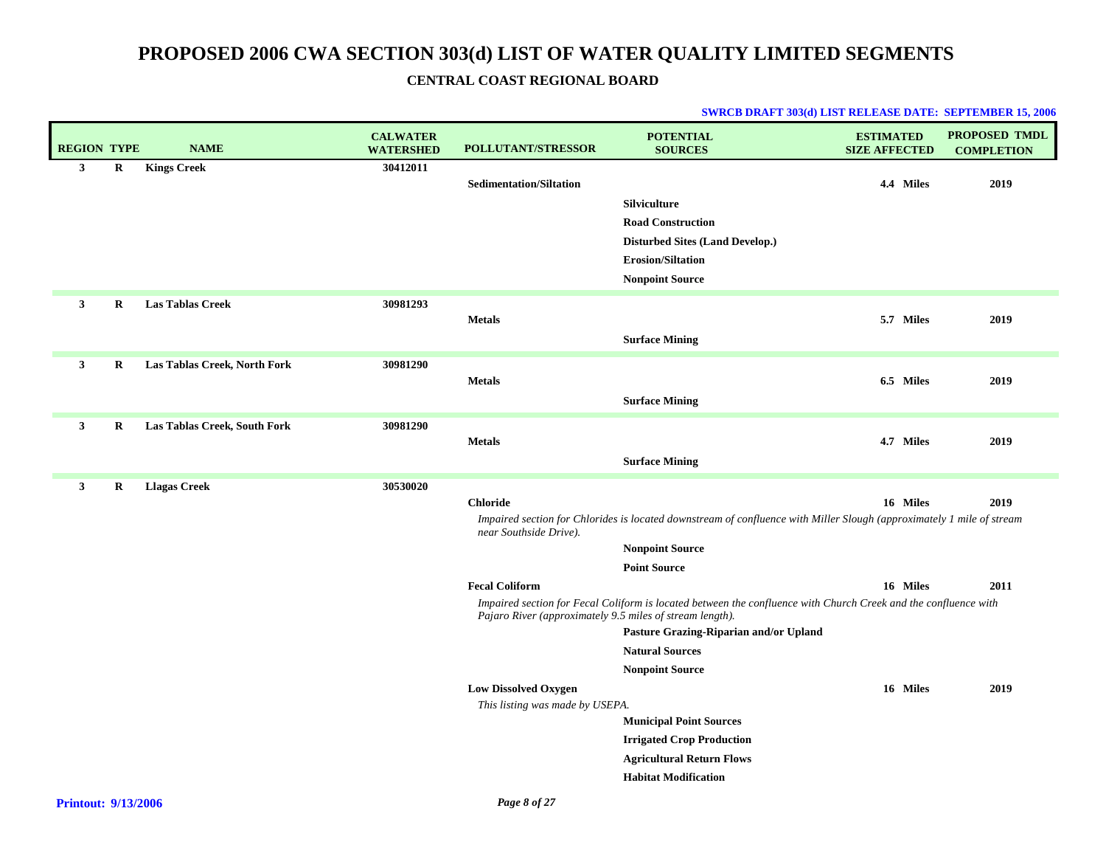| <b>REGION TYPE</b> |             | <b>NAME</b>                  | <b>CALWATER</b><br><b>WATERSHED</b> | <b>POLLUTANT/STRESSOR</b>                                | <b>POTENTIAL</b><br><b>SOURCES</b>                                                                                    | <b>ESTIMATED</b><br><b>SIZE AFFECTED</b> | <b>PROPOSED TMDL</b><br><b>COMPLETION</b> |
|--------------------|-------------|------------------------------|-------------------------------------|----------------------------------------------------------|-----------------------------------------------------------------------------------------------------------------------|------------------------------------------|-------------------------------------------|
| $\mathbf{3}$       | $\mathbf R$ | <b>Kings Creek</b>           | 30412011                            |                                                          |                                                                                                                       |                                          |                                           |
|                    |             |                              |                                     | <b>Sedimentation/Siltation</b>                           |                                                                                                                       | 4.4 Miles                                | 2019                                      |
|                    |             |                              |                                     |                                                          | Silviculture<br><b>Road Construction</b>                                                                              |                                          |                                           |
|                    |             |                              |                                     |                                                          | <b>Disturbed Sites (Land Develop.)</b>                                                                                |                                          |                                           |
|                    |             |                              |                                     |                                                          | <b>Erosion/Siltation</b>                                                                                              |                                          |                                           |
|                    |             |                              |                                     |                                                          | <b>Nonpoint Source</b>                                                                                                |                                          |                                           |
|                    |             |                              |                                     |                                                          |                                                                                                                       |                                          |                                           |
| $\mathbf{3}$       | R           | <b>Las Tablas Creek</b>      | 30981293                            | <b>Metals</b>                                            |                                                                                                                       | 5.7 Miles                                | 2019                                      |
|                    |             |                              |                                     |                                                          | <b>Surface Mining</b>                                                                                                 |                                          |                                           |
|                    |             |                              |                                     |                                                          |                                                                                                                       |                                          |                                           |
| $\mathbf{3}$       | R           | Las Tablas Creek, North Fork | 30981290                            |                                                          |                                                                                                                       | 6.5 Miles                                | 2019                                      |
|                    |             |                              |                                     | <b>Metals</b>                                            |                                                                                                                       |                                          |                                           |
|                    |             |                              |                                     |                                                          | <b>Surface Mining</b>                                                                                                 |                                          |                                           |
| $\mathbf{3}$       | R           | Las Tablas Creek, South Fork | 30981290                            |                                                          |                                                                                                                       |                                          |                                           |
|                    |             |                              |                                     | <b>Metals</b>                                            |                                                                                                                       | 4.7 Miles                                | 2019                                      |
|                    |             |                              |                                     |                                                          | <b>Surface Mining</b>                                                                                                 |                                          |                                           |
| $\mathbf{3}$       | $\mathbf R$ | <b>Llagas Creek</b>          | 30530020                            |                                                          |                                                                                                                       |                                          |                                           |
|                    |             |                              |                                     | <b>Chloride</b>                                          |                                                                                                                       | 16 Miles                                 | 2019                                      |
|                    |             |                              |                                     | near Southside Drive).                                   | Impaired section for Chlorides is located downstream of confluence with Miller Slough (approximately 1 mile of stream |                                          |                                           |
|                    |             |                              |                                     |                                                          | <b>Nonpoint Source</b>                                                                                                |                                          |                                           |
|                    |             |                              |                                     |                                                          | <b>Point Source</b>                                                                                                   |                                          |                                           |
|                    |             |                              |                                     | <b>Fecal Coliform</b>                                    |                                                                                                                       | 16 Miles                                 | 2011                                      |
|                    |             |                              |                                     | Pajaro River (approximately 9.5 miles of stream length). | Impaired section for Fecal Coliform is located between the confluence with Church Creek and the confluence with       |                                          |                                           |
|                    |             |                              |                                     |                                                          | Pasture Grazing-Riparian and/or Upland                                                                                |                                          |                                           |
|                    |             |                              |                                     |                                                          | <b>Natural Sources</b>                                                                                                |                                          |                                           |
|                    |             |                              |                                     |                                                          | <b>Nonpoint Source</b>                                                                                                |                                          |                                           |
|                    |             |                              |                                     | <b>Low Dissolved Oxygen</b>                              |                                                                                                                       | 16 Miles                                 | 2019                                      |
|                    |             |                              |                                     | This listing was made by USEPA.                          |                                                                                                                       |                                          |                                           |
|                    |             |                              |                                     |                                                          | <b>Municipal Point Sources</b>                                                                                        |                                          |                                           |
|                    |             |                              |                                     |                                                          | <b>Irrigated Crop Production</b>                                                                                      |                                          |                                           |
|                    |             |                              |                                     |                                                          | <b>Agricultural Return Flows</b>                                                                                      |                                          |                                           |
|                    |             |                              |                                     |                                                          | <b>Habitat Modification</b>                                                                                           |                                          |                                           |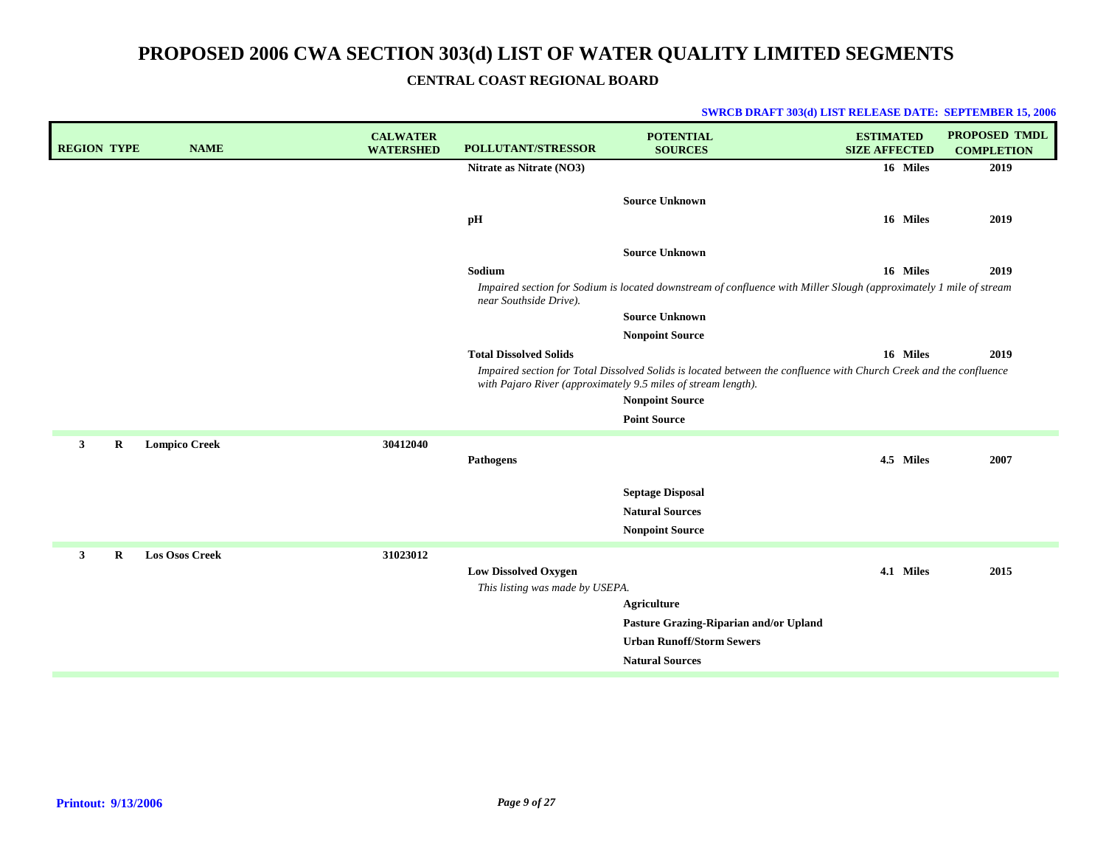**CENTRAL COAST REGIONAL BOARD**

| <b>REGION TYPE</b> |   | <b>NAME</b>           | <b>CALWATER</b><br><b>WATERSHED</b> | POLLUTANT/STRESSOR              | <b>POTENTIAL</b><br><b>SOURCES</b>                                                                                                                                                  | <b>ESTIMATED</b><br><b>SIZE AFFECTED</b> | PROPOSED TMDL<br><b>COMPLETION</b> |
|--------------------|---|-----------------------|-------------------------------------|---------------------------------|-------------------------------------------------------------------------------------------------------------------------------------------------------------------------------------|------------------------------------------|------------------------------------|
|                    |   |                       |                                     | Nitrate as Nitrate (NO3)        |                                                                                                                                                                                     | 16 Miles                                 | 2019                               |
|                    |   |                       |                                     | pH                              | <b>Source Unknown</b>                                                                                                                                                               | 16 Miles                                 | 2019                               |
|                    |   |                       |                                     |                                 | <b>Source Unknown</b>                                                                                                                                                               |                                          |                                    |
|                    |   |                       |                                     | Sodium                          |                                                                                                                                                                                     | 16 Miles                                 | 2019                               |
|                    |   |                       |                                     | near Southside Drive).          | Impaired section for Sodium is located downstream of confluence with Miller Slough (approximately 1 mile of stream                                                                  |                                          |                                    |
|                    |   |                       |                                     |                                 | <b>Source Unknown</b>                                                                                                                                                               |                                          |                                    |
|                    |   |                       |                                     |                                 | <b>Nonpoint Source</b>                                                                                                                                                              |                                          |                                    |
|                    |   |                       |                                     | <b>Total Dissolved Solids</b>   |                                                                                                                                                                                     | 16 Miles                                 | 2019                               |
|                    |   |                       |                                     |                                 | Impaired section for Total Dissolved Solids is located between the confluence with Church Creek and the confluence<br>with Pajaro River (approximately 9.5 miles of stream length). |                                          |                                    |
|                    |   |                       |                                     |                                 | <b>Nonpoint Source</b>                                                                                                                                                              |                                          |                                    |
|                    |   |                       |                                     |                                 | <b>Point Source</b>                                                                                                                                                                 |                                          |                                    |
| $\mathbf{3}$       | R | <b>Lompico Creek</b>  | 30412040                            |                                 |                                                                                                                                                                                     |                                          |                                    |
|                    |   |                       |                                     | <b>Pathogens</b>                |                                                                                                                                                                                     | 4.5 Miles                                | 2007                               |
|                    |   |                       |                                     |                                 | <b>Septage Disposal</b>                                                                                                                                                             |                                          |                                    |
|                    |   |                       |                                     |                                 | <b>Natural Sources</b>                                                                                                                                                              |                                          |                                    |
|                    |   |                       |                                     |                                 | <b>Nonpoint Source</b>                                                                                                                                                              |                                          |                                    |
| $\mathbf{3}$       | R | <b>Los Osos Creek</b> | 31023012                            |                                 |                                                                                                                                                                                     |                                          |                                    |
|                    |   |                       |                                     | <b>Low Dissolved Oxygen</b>     |                                                                                                                                                                                     | 4.1 Miles                                | 2015                               |
|                    |   |                       |                                     | This listing was made by USEPA. |                                                                                                                                                                                     |                                          |                                    |
|                    |   |                       |                                     |                                 | <b>Agriculture</b>                                                                                                                                                                  |                                          |                                    |
|                    |   |                       |                                     |                                 | Pasture Grazing-Riparian and/or Upland                                                                                                                                              |                                          |                                    |
|                    |   |                       |                                     |                                 | <b>Urban Runoff/Storm Sewers</b>                                                                                                                                                    |                                          |                                    |
|                    |   |                       |                                     |                                 | <b>Natural Sources</b>                                                                                                                                                              |                                          |                                    |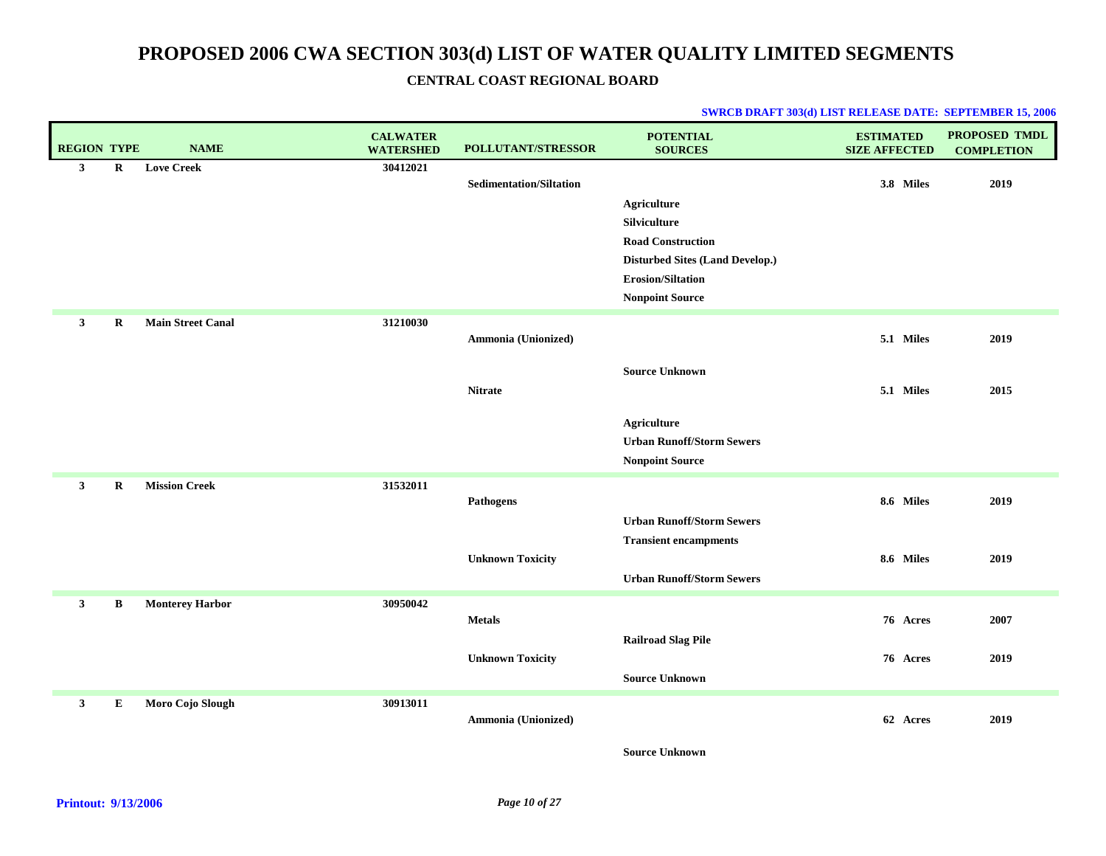| <b>REGION TYPE</b>        | <b>NAME</b>              | <b>CALWATER</b><br><b>WATERSHED</b> | <b>POLLUTANT/STRESSOR</b>      | <b>POTENTIAL</b><br><b>SOURCES</b>     | <b>ESTIMATED</b><br><b>SIZE AFFECTED</b> | PROPOSED TMDL<br><b>COMPLETION</b> |
|---------------------------|--------------------------|-------------------------------------|--------------------------------|----------------------------------------|------------------------------------------|------------------------------------|
| $\mathbf{3}$<br>R         | <b>Love Creek</b>        | 30412021                            |                                |                                        |                                          |                                    |
|                           |                          |                                     | <b>Sedimentation/Siltation</b> |                                        | 3.8 Miles                                | 2019                               |
|                           |                          |                                     |                                | <b>Agriculture</b>                     |                                          |                                    |
|                           |                          |                                     |                                | Silviculture                           |                                          |                                    |
|                           |                          |                                     |                                | <b>Road Construction</b>               |                                          |                                    |
|                           |                          |                                     |                                | <b>Disturbed Sites (Land Develop.)</b> |                                          |                                    |
|                           |                          |                                     |                                | Erosion/Siltation                      |                                          |                                    |
|                           |                          |                                     |                                | <b>Nonpoint Source</b>                 |                                          |                                    |
| $\mathbf{3}$<br>$\bf{R}$  | <b>Main Street Canal</b> | 31210030                            |                                |                                        |                                          |                                    |
|                           |                          |                                     | Ammonia (Unionized)            |                                        | 5.1 Miles                                | 2019                               |
|                           |                          |                                     |                                | <b>Source Unknown</b>                  |                                          |                                    |
|                           |                          |                                     | <b>Nitrate</b>                 |                                        | 5.1 Miles                                | 2015                               |
|                           |                          |                                     |                                |                                        |                                          |                                    |
|                           |                          |                                     |                                | <b>Agriculture</b>                     |                                          |                                    |
|                           |                          |                                     |                                | <b>Urban Runoff/Storm Sewers</b>       |                                          |                                    |
|                           |                          |                                     |                                | <b>Nonpoint Source</b>                 |                                          |                                    |
| $\mathbf{3}$<br>$\bf R$   | <b>Mission Creek</b>     | 31532011                            |                                |                                        |                                          |                                    |
|                           |                          |                                     | <b>Pathogens</b>               |                                        | 8.6 Miles                                | 2019                               |
|                           |                          |                                     |                                | <b>Urban Runoff/Storm Sewers</b>       |                                          |                                    |
|                           |                          |                                     |                                | <b>Transient encampments</b>           |                                          |                                    |
|                           |                          |                                     | <b>Unknown Toxicity</b>        |                                        | 8.6 Miles                                | 2019                               |
|                           |                          |                                     |                                | <b>Urban Runoff/Storm Sewers</b>       |                                          |                                    |
| 3<br>B                    | <b>Monterey Harbor</b>   | 30950042                            |                                |                                        |                                          |                                    |
|                           |                          |                                     | <b>Metals</b>                  |                                        | 76 Acres                                 | 2007                               |
|                           |                          |                                     |                                | <b>Railroad Slag Pile</b>              |                                          |                                    |
|                           |                          |                                     | <b>Unknown Toxicity</b>        |                                        | 76 Acres                                 | 2019                               |
|                           |                          |                                     |                                | <b>Source Unknown</b>                  |                                          |                                    |
| $\mathbf{3}$<br>${\bf E}$ | Moro Cojo Slough         | 30913011                            |                                |                                        |                                          |                                    |
|                           |                          |                                     | Ammonia (Unionized)            |                                        | 62 Acres                                 | 2019                               |
|                           |                          |                                     |                                |                                        |                                          |                                    |
|                           |                          |                                     |                                | <b>Source Unknown</b>                  |                                          |                                    |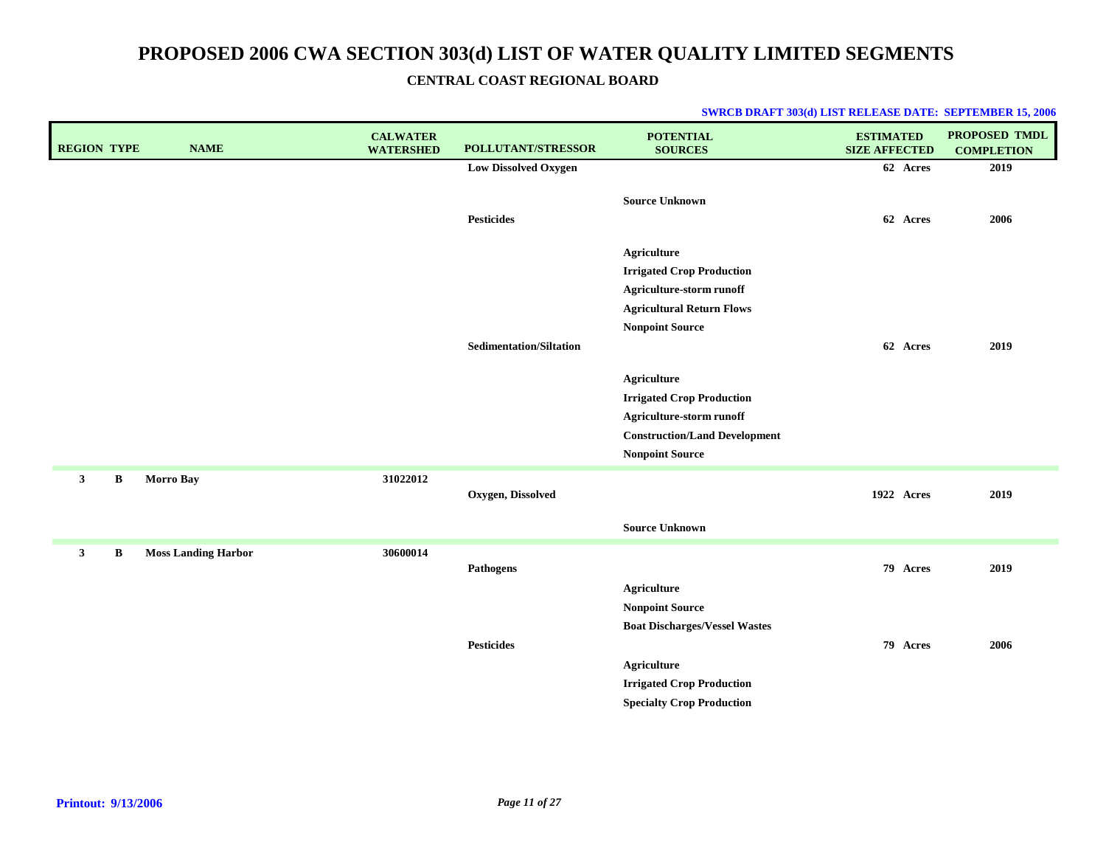|  | <b>SWRCB DRAFT 303(d) LIST RELEASE DATE: SEPTEMBER 15, 2006</b> |  |
|--|-----------------------------------------------------------------|--|
|--|-----------------------------------------------------------------|--|

| <b>REGION TYPE</b> | <b>NAME</b>                | <b>CALWATER</b><br><b>WATERSHED</b> | <b>POLLUTANT/STRESSOR</b>      | <b>POTENTIAL</b><br><b>SOURCES</b>                                                                                                                   | <b>ESTIMATED</b><br><b>SIZE AFFECTED</b> | PROPOSED TMDL<br><b>COMPLETION</b> |
|--------------------|----------------------------|-------------------------------------|--------------------------------|------------------------------------------------------------------------------------------------------------------------------------------------------|------------------------------------------|------------------------------------|
|                    |                            |                                     | <b>Low Dissolved Oxygen</b>    |                                                                                                                                                      | 62 Acres                                 | 2019                               |
|                    |                            |                                     | <b>Pesticides</b>              | <b>Source Unknown</b>                                                                                                                                | 62 Acres                                 | 2006                               |
|                    |                            |                                     |                                | Agriculture<br><b>Irrigated Crop Production</b><br>Agriculture-storm runoff<br><b>Agricultural Return Flows</b><br><b>Nonpoint Source</b>            |                                          |                                    |
|                    |                            |                                     | <b>Sedimentation/Siltation</b> | <b>Agriculture</b><br><b>Irrigated Crop Production</b><br>Agriculture-storm runoff<br><b>Construction/Land Development</b><br><b>Nonpoint Source</b> | 62 Acres                                 | 2019                               |
| $\mathbf{3}$<br>В  | <b>Morro Bay</b>           | 31022012                            | Oxygen, Dissolved              |                                                                                                                                                      | 1922 Acres                               | 2019                               |
|                    |                            |                                     |                                | <b>Source Unknown</b>                                                                                                                                |                                          |                                    |
| $\mathbf{3}$<br>В  | <b>Moss Landing Harbor</b> | 30600014                            | <b>Pathogens</b>               | <b>Agriculture</b><br><b>Nonpoint Source</b><br><b>Boat Discharges/Vessel Wastes</b>                                                                 | 79 Acres                                 | 2019                               |
|                    |                            |                                     | <b>Pesticides</b>              | <b>Agriculture</b><br><b>Irrigated Crop Production</b><br><b>Specialty Crop Production</b>                                                           | 79 Acres                                 | 2006                               |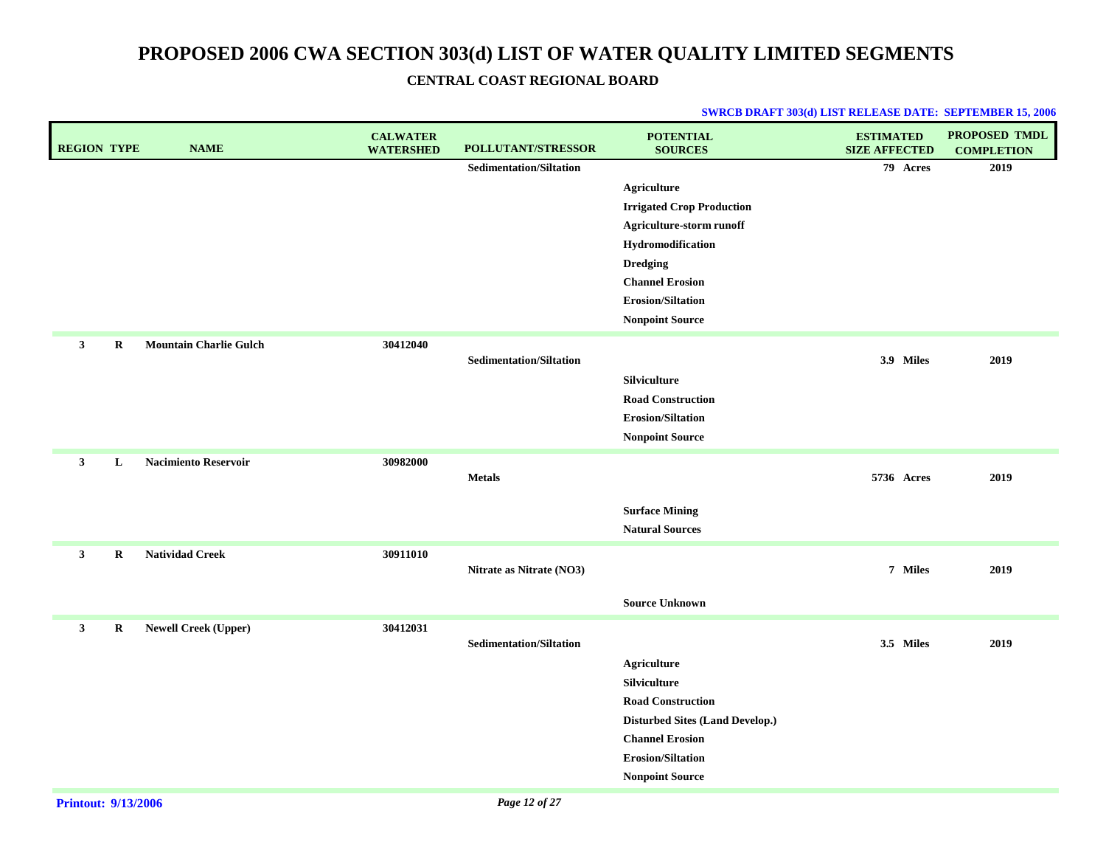| <b>REGION TYPE</b> |             | <b>NAME</b>                   | <b>CALWATER</b><br><b>WATERSHED</b> | POLLUTANT/STRESSOR             | <b>POTENTIAL</b><br><b>SOURCES</b>     | <b>ESTIMATED</b><br><b>SIZE AFFECTED</b> | <b>PROPOSED TMDL</b><br><b>COMPLETION</b> |
|--------------------|-------------|-------------------------------|-------------------------------------|--------------------------------|----------------------------------------|------------------------------------------|-------------------------------------------|
|                    |             |                               |                                     | <b>Sedimentation/Siltation</b> |                                        | 79 Acres                                 | 2019                                      |
|                    |             |                               |                                     |                                | <b>Agriculture</b>                     |                                          |                                           |
|                    |             |                               |                                     |                                | <b>Irrigated Crop Production</b>       |                                          |                                           |
|                    |             |                               |                                     |                                | Agriculture-storm runoff               |                                          |                                           |
|                    |             |                               |                                     |                                | Hydromodification                      |                                          |                                           |
|                    |             |                               |                                     |                                | <b>Dredging</b>                        |                                          |                                           |
|                    |             |                               |                                     |                                | <b>Channel Erosion</b>                 |                                          |                                           |
|                    |             |                               |                                     |                                | <b>Erosion/Siltation</b>               |                                          |                                           |
|                    |             |                               |                                     |                                | <b>Nonpoint Source</b>                 |                                          |                                           |
| $\mathbf{3}$       | R           | <b>Mountain Charlie Gulch</b> | 30412040                            |                                |                                        |                                          |                                           |
|                    |             |                               |                                     | Sedimentation/Siltation        |                                        | 3.9 Miles                                | 2019                                      |
|                    |             |                               |                                     |                                | Silviculture                           |                                          |                                           |
|                    |             |                               |                                     |                                | <b>Road Construction</b>               |                                          |                                           |
|                    |             |                               |                                     |                                | <b>Erosion/Siltation</b>               |                                          |                                           |
|                    |             |                               |                                     |                                | <b>Nonpoint Source</b>                 |                                          |                                           |
| 3 <sup>1</sup>     | L           | <b>Nacimiento Reservoir</b>   | 30982000                            |                                |                                        |                                          |                                           |
|                    |             |                               |                                     | <b>Metals</b>                  |                                        | 5736 Acres                               | 2019                                      |
|                    |             |                               |                                     |                                |                                        |                                          |                                           |
|                    |             |                               |                                     |                                | <b>Surface Mining</b>                  |                                          |                                           |
|                    |             |                               |                                     |                                | <b>Natural Sources</b>                 |                                          |                                           |
| $\mathbf{3}$       | $\mathbf R$ | <b>Natividad Creek</b>        | 30911010                            |                                |                                        |                                          |                                           |
|                    |             |                               |                                     | Nitrate as Nitrate (NO3)       |                                        | 7 Miles                                  | 2019                                      |
|                    |             |                               |                                     |                                | <b>Source Unknown</b>                  |                                          |                                           |
|                    |             |                               |                                     |                                |                                        |                                          |                                           |
| $\mathbf{3}$       | R           | <b>Newell Creek (Upper)</b>   | 30412031                            |                                |                                        |                                          |                                           |
|                    |             |                               |                                     | <b>Sedimentation/Siltation</b> |                                        | 3.5 Miles                                | 2019                                      |
|                    |             |                               |                                     |                                | <b>Agriculture</b>                     |                                          |                                           |
|                    |             |                               |                                     |                                | <b>Silviculture</b>                    |                                          |                                           |
|                    |             |                               |                                     |                                | <b>Road Construction</b>               |                                          |                                           |
|                    |             |                               |                                     |                                | <b>Disturbed Sites (Land Develop.)</b> |                                          |                                           |
|                    |             |                               |                                     |                                | <b>Channel Erosion</b>                 |                                          |                                           |
|                    |             |                               |                                     |                                | <b>Erosion/Siltation</b>               |                                          |                                           |
|                    |             |                               |                                     |                                | <b>Nonpoint Source</b>                 |                                          |                                           |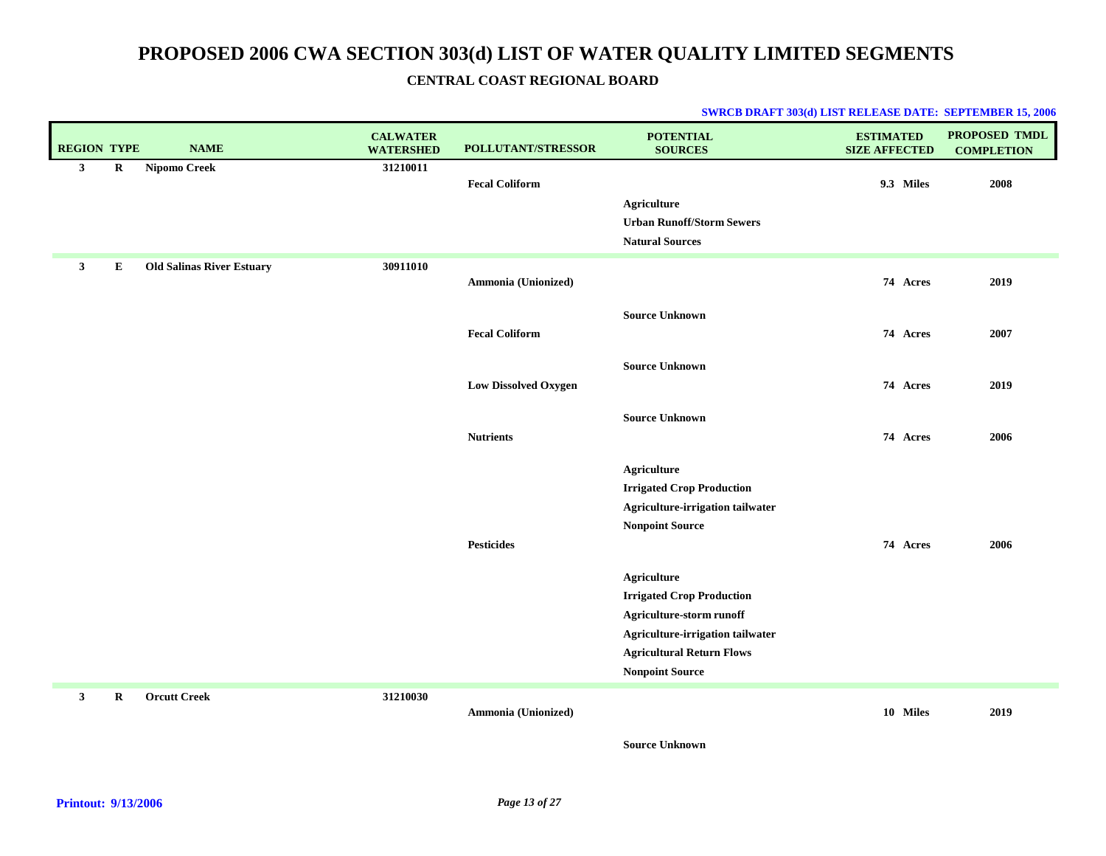| <b>REGION TYPE</b>          | <b>NAME</b>                      | <b>CALWATER</b><br><b>WATERSHED</b> | POLLUTANT/STRESSOR          | <b>POTENTIAL</b><br><b>SOURCES</b>                                                                                                                                            | <b>ESTIMATED</b><br><b>SIZE AFFECTED</b> | PROPOSED TMDL<br><b>COMPLETION</b> |
|-----------------------------|----------------------------------|-------------------------------------|-----------------------------|-------------------------------------------------------------------------------------------------------------------------------------------------------------------------------|------------------------------------------|------------------------------------|
| $\mathbf{3}$<br>$\bf R$     | <b>Nipomo Creek</b>              | 31210011                            | <b>Fecal Coliform</b>       | <b>Agriculture</b><br><b>Urban Runoff/Storm Sewers</b><br><b>Natural Sources</b>                                                                                              | 9.3 Miles                                | 2008                               |
| $\mathbf{3}$<br>Е           | <b>Old Salinas River Estuary</b> | 30911010                            | Ammonia (Unionized)         |                                                                                                                                                                               | 74 Acres                                 | 2019                               |
|                             |                                  |                                     | <b>Fecal Coliform</b>       | <b>Source Unknown</b>                                                                                                                                                         | 74 Acres                                 | 2007                               |
|                             |                                  |                                     | <b>Low Dissolved Oxygen</b> | <b>Source Unknown</b>                                                                                                                                                         | 74 Acres                                 | 2019                               |
|                             |                                  |                                     | <b>Nutrients</b>            | <b>Source Unknown</b>                                                                                                                                                         | 74 Acres                                 | 2006                               |
|                             |                                  |                                     |                             | Agriculture<br><b>Irrigated Crop Production</b><br>Agriculture-irrigation tailwater<br><b>Nonpoint Source</b>                                                                 |                                          |                                    |
|                             |                                  |                                     | <b>Pesticides</b>           |                                                                                                                                                                               | 74 Acres                                 | 2006                               |
|                             |                                  |                                     |                             | Agriculture<br><b>Irrigated Crop Production</b><br>Agriculture-storm runoff<br>Agriculture-irrigation tailwater<br><b>Agricultural Return Flows</b><br><b>Nonpoint Source</b> |                                          |                                    |
| $\mathbf{3}$<br>$\mathbf R$ | <b>Orcutt Creek</b>              | 31210030                            | Ammonia (Unionized)         |                                                                                                                                                                               | 10 Miles                                 | 2019                               |
|                             |                                  |                                     |                             | <b>Source Unknown</b>                                                                                                                                                         |                                          |                                    |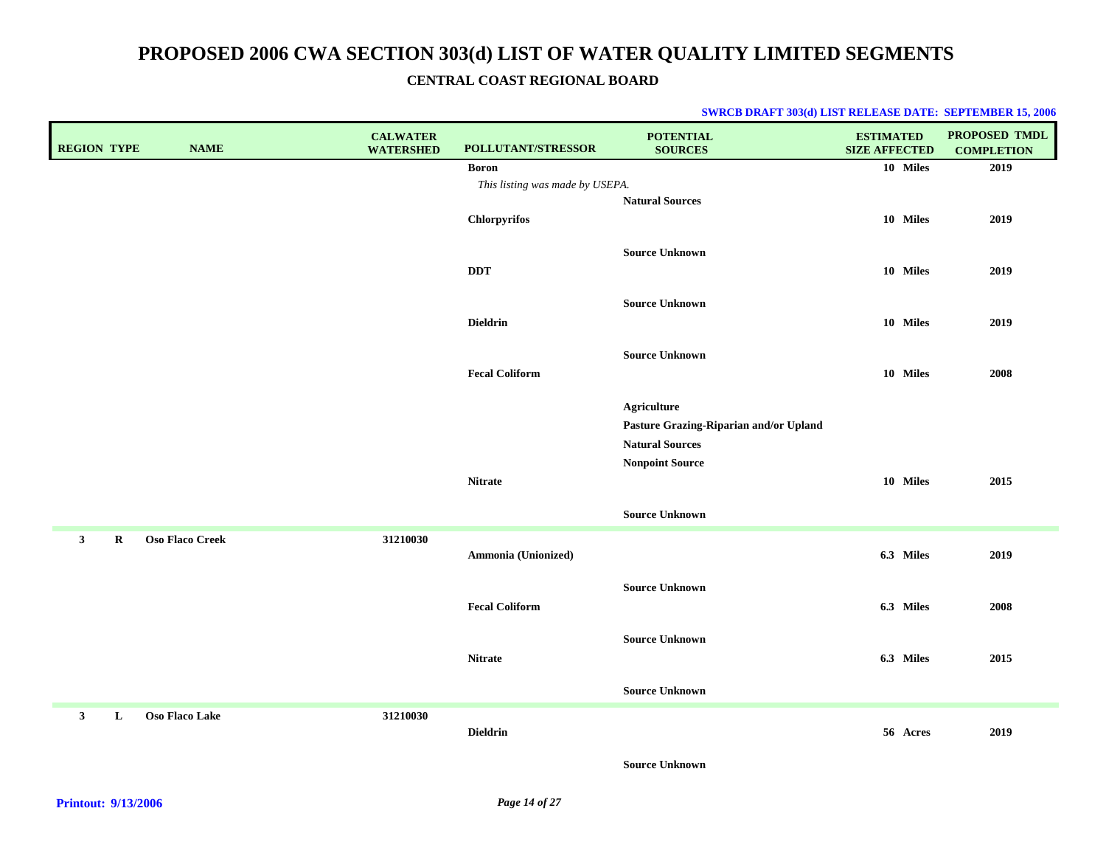| <b>REGION TYPE</b> |          | <b>NAME</b>            | <b>CALWATER</b><br><b>WATERSHED</b> | POLLUTANT/STRESSOR              | <b>POTENTIAL</b><br><b>SOURCES</b>     | <b>ESTIMATED</b><br><b>SIZE AFFECTED</b> | PROPOSED TMDL<br><b>COMPLETION</b> |
|--------------------|----------|------------------------|-------------------------------------|---------------------------------|----------------------------------------|------------------------------------------|------------------------------------|
|                    |          |                        |                                     | <b>Boron</b>                    |                                        | 10 Miles                                 | 2019                               |
|                    |          |                        |                                     | This listing was made by USEPA. |                                        |                                          |                                    |
|                    |          |                        |                                     |                                 | <b>Natural Sources</b>                 |                                          |                                    |
|                    |          |                        |                                     | Chlorpyrifos                    |                                        | 10 Miles                                 | 2019                               |
|                    |          |                        |                                     |                                 | <b>Source Unknown</b>                  |                                          |                                    |
|                    |          |                        |                                     | <b>DDT</b>                      |                                        | 10 Miles                                 | 2019                               |
|                    |          |                        |                                     |                                 |                                        |                                          |                                    |
|                    |          |                        |                                     |                                 | <b>Source Unknown</b>                  |                                          |                                    |
|                    |          |                        |                                     | <b>Dieldrin</b>                 |                                        | 10 Miles                                 | 2019                               |
|                    |          |                        |                                     |                                 |                                        |                                          |                                    |
|                    |          |                        |                                     | <b>Fecal Coliform</b>           | <b>Source Unknown</b>                  | 10 Miles                                 |                                    |
|                    |          |                        |                                     |                                 |                                        |                                          | 2008                               |
|                    |          |                        |                                     |                                 | <b>Agriculture</b>                     |                                          |                                    |
|                    |          |                        |                                     |                                 | Pasture Grazing-Riparian and/or Upland |                                          |                                    |
|                    |          |                        |                                     |                                 | <b>Natural Sources</b>                 |                                          |                                    |
|                    |          |                        |                                     |                                 | <b>Nonpoint Source</b>                 |                                          |                                    |
|                    |          |                        |                                     | <b>Nitrate</b>                  |                                        | 10 Miles                                 | 2015                               |
|                    |          |                        |                                     |                                 |                                        |                                          |                                    |
|                    |          |                        |                                     |                                 | <b>Source Unknown</b>                  |                                          |                                    |
| 3 <sup>1</sup>     | $\bf{R}$ | <b>Oso Flaco Creek</b> | 31210030                            |                                 |                                        |                                          |                                    |
|                    |          |                        |                                     | Ammonia (Unionized)             |                                        | 6.3 Miles                                | 2019                               |
|                    |          |                        |                                     |                                 | <b>Source Unknown</b>                  |                                          |                                    |
|                    |          |                        |                                     | <b>Fecal Coliform</b>           |                                        | 6.3 Miles                                | 2008                               |
|                    |          |                        |                                     |                                 |                                        |                                          |                                    |
|                    |          |                        |                                     |                                 | <b>Source Unknown</b>                  |                                          |                                    |
|                    |          |                        |                                     | <b>Nitrate</b>                  |                                        | 6.3 Miles                                | 2015                               |
|                    |          |                        |                                     |                                 |                                        |                                          |                                    |
|                    |          |                        |                                     |                                 | <b>Source Unknown</b>                  |                                          |                                    |
| $\mathbf{3}$       | L        | Oso Flaco Lake         | 31210030                            |                                 |                                        |                                          |                                    |
|                    |          |                        |                                     | <b>Dieldrin</b>                 |                                        | 56 Acres                                 | 2019                               |
|                    |          |                        |                                     |                                 | <b>Source Unknown</b>                  |                                          |                                    |
|                    |          |                        |                                     |                                 |                                        |                                          |                                    |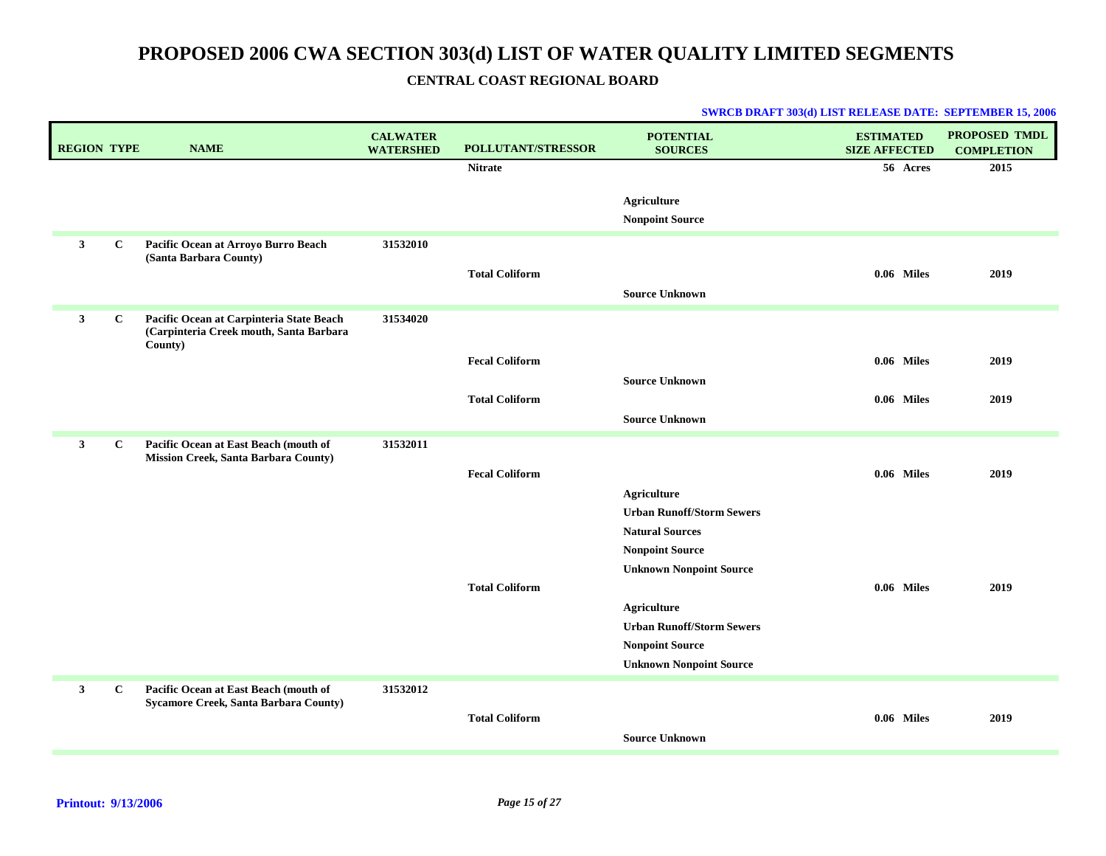### **CENTRAL COAST REGIONAL BOARD**

| <b>REGION TYPE</b> |              | <b>NAME</b>                                                                                    | <b>CALWATER</b><br><b>WATERSHED</b> | <b>POLLUTANT/STRESSOR</b> | <b>POTENTIAL</b><br><b>SOURCES</b>              | <b>ESTIMATED</b><br><b>SIZE AFFECTED</b> | PROPOSED TMDL<br><b>COMPLETION</b> |
|--------------------|--------------|------------------------------------------------------------------------------------------------|-------------------------------------|---------------------------|-------------------------------------------------|------------------------------------------|------------------------------------|
|                    |              |                                                                                                |                                     | <b>Nitrate</b>            |                                                 | 56 Acres                                 | 2015                               |
|                    |              |                                                                                                |                                     |                           | Agriculture<br><b>Nonpoint Source</b>           |                                          |                                    |
| $\mathbf{3}$       | $\mathbf{C}$ | Pacific Ocean at Arroyo Burro Beach<br>(Santa Barbara County)                                  | 31532010                            | <b>Total Coliform</b>     | <b>Source Unknown</b>                           | 0.06 Miles                               | 2019                               |
| $\mathbf{3}$       | $\mathbf C$  | Pacific Ocean at Carpinteria State Beach<br>(Carpinteria Creek mouth, Santa Barbara<br>County) | 31534020                            |                           |                                                 |                                          |                                    |
|                    |              |                                                                                                |                                     | <b>Fecal Coliform</b>     | <b>Source Unknown</b>                           | $0.06$ Miles                             | 2019                               |
|                    |              |                                                                                                |                                     | <b>Total Coliform</b>     | <b>Source Unknown</b>                           | $0.06$ Miles                             | 2019                               |
| $\mathbf{3}$       | $\mathbf{C}$ | Pacific Ocean at East Beach (mouth of                                                          | 31532011                            |                           |                                                 |                                          |                                    |
|                    |              | <b>Mission Creek, Santa Barbara County)</b>                                                    |                                     | <b>Fecal Coliform</b>     |                                                 | 0.06 Miles                               | 2019                               |
|                    |              |                                                                                                |                                     |                           | Agriculture<br><b>Urban Runoff/Storm Sewers</b> |                                          |                                    |
|                    |              |                                                                                                |                                     |                           | <b>Natural Sources</b>                          |                                          |                                    |
|                    |              |                                                                                                |                                     |                           | <b>Nonpoint Source</b>                          |                                          |                                    |
|                    |              |                                                                                                |                                     | <b>Total Coliform</b>     | <b>Unknown Nonpoint Source</b>                  | 0.06 Miles                               | 2019                               |
|                    |              |                                                                                                |                                     |                           | Agriculture                                     |                                          |                                    |
|                    |              |                                                                                                |                                     |                           | <b>Urban Runoff/Storm Sewers</b>                |                                          |                                    |
|                    |              |                                                                                                |                                     |                           | <b>Nonpoint Source</b>                          |                                          |                                    |
|                    |              |                                                                                                |                                     |                           | <b>Unknown Nonpoint Source</b>                  |                                          |                                    |
| $\mathbf{3}$       | $\mathbf{C}$ | Pacific Ocean at East Beach (mouth of<br>Sycamore Creek, Santa Barbara County)                 | 31532012                            | <b>Total Coliform</b>     |                                                 | $0.06$ Miles                             | 2019                               |
|                    |              |                                                                                                |                                     |                           | <b>Source Unknown</b>                           |                                          |                                    |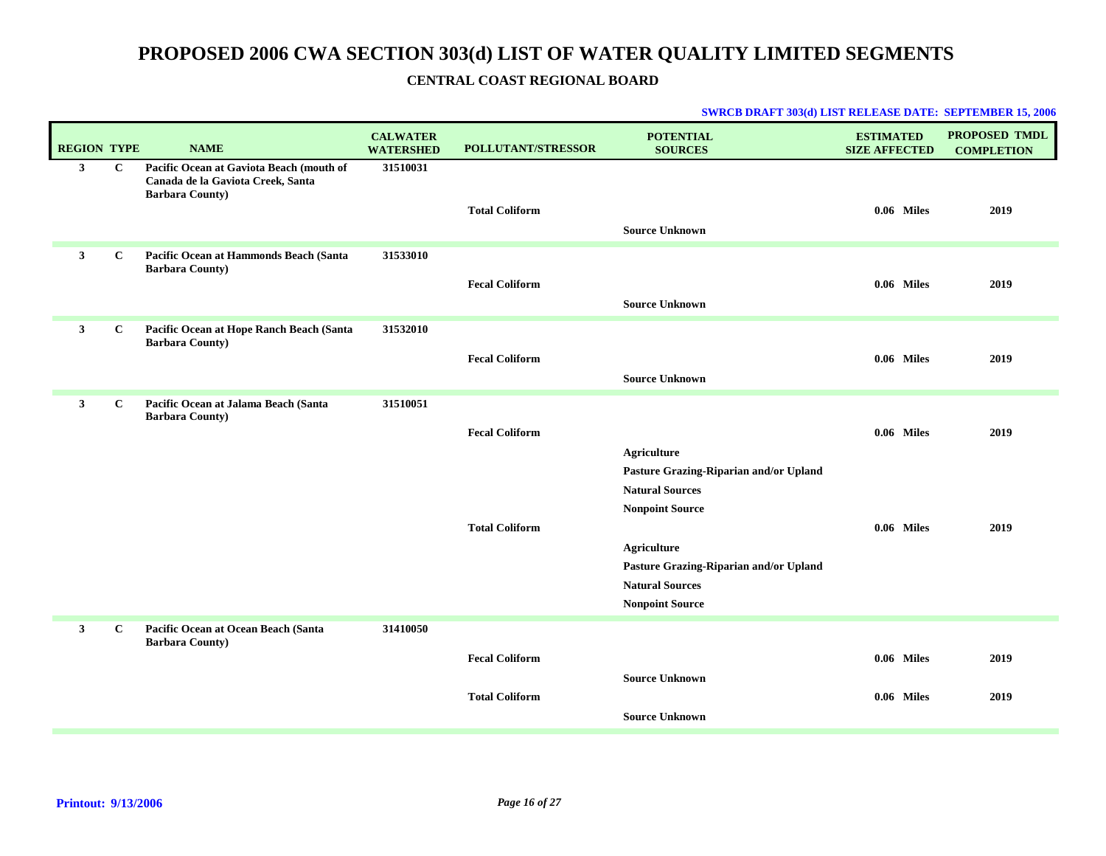### **CENTRAL COAST REGIONAL BOARD**

| <b>REGION TYPE</b> |              | <b>NAME</b>                                                                                             | <b>CALWATER</b><br><b>WATERSHED</b> | <b>POLLUTANT/STRESSOR</b>                      | <b>POTENTIAL</b><br><b>SOURCES</b>                                                                               | <b>ESTIMATED</b><br><b>SIZE AFFECTED</b> | PROPOSED TMDL<br><b>COMPLETION</b> |
|--------------------|--------------|---------------------------------------------------------------------------------------------------------|-------------------------------------|------------------------------------------------|------------------------------------------------------------------------------------------------------------------|------------------------------------------|------------------------------------|
| $\mathbf{3}$       | $\mathbf{C}$ | Pacific Ocean at Gaviota Beach (mouth of<br>Canada de la Gaviota Creek, Santa<br><b>Barbara County)</b> | 31510031                            | <b>Total Coliform</b>                          | <b>Source Unknown</b>                                                                                            | 0.06 Miles                               | 2019                               |
| $\mathbf{3}$       | $\mathbf{C}$ | <b>Pacific Ocean at Hammonds Beach (Santa</b><br><b>Barbara County)</b>                                 | 31533010                            | <b>Fecal Coliform</b>                          | <b>Source Unknown</b>                                                                                            | 0.06 Miles                               | 2019                               |
| $\mathbf{3}$       | $\mathbf{C}$ | Pacific Ocean at Hope Ranch Beach (Santa<br><b>Barbara County)</b>                                      | 31532010                            | <b>Fecal Coliform</b>                          | <b>Source Unknown</b>                                                                                            | 0.06 Miles                               | 2019                               |
| $\mathbf{3}$       | $\mathbf C$  | Pacific Ocean at Jalama Beach (Santa<br><b>Barbara County)</b>                                          | 31510051                            | <b>Fecal Coliform</b><br><b>Total Coliform</b> | <b>Agriculture</b><br>Pasture Grazing-Riparian and/or Upland<br><b>Natural Sources</b><br><b>Nonpoint Source</b> | 0.06 Miles<br>0.06 Miles                 | 2019<br>2019                       |
|                    |              |                                                                                                         |                                     |                                                | Agriculture<br>Pasture Grazing-Riparian and/or Upland<br><b>Natural Sources</b><br><b>Nonpoint Source</b>        |                                          |                                    |
| $\mathbf{3}$       | $\mathbf{C}$ | Pacific Ocean at Ocean Beach (Santa<br><b>Barbara County)</b>                                           | 31410050                            | <b>Fecal Coliform</b>                          | <b>Source Unknown</b>                                                                                            | $0.06$ Miles                             | 2019                               |
|                    |              |                                                                                                         |                                     | <b>Total Coliform</b>                          | <b>Source Unknown</b>                                                                                            | 0.06 Miles                               | 2019                               |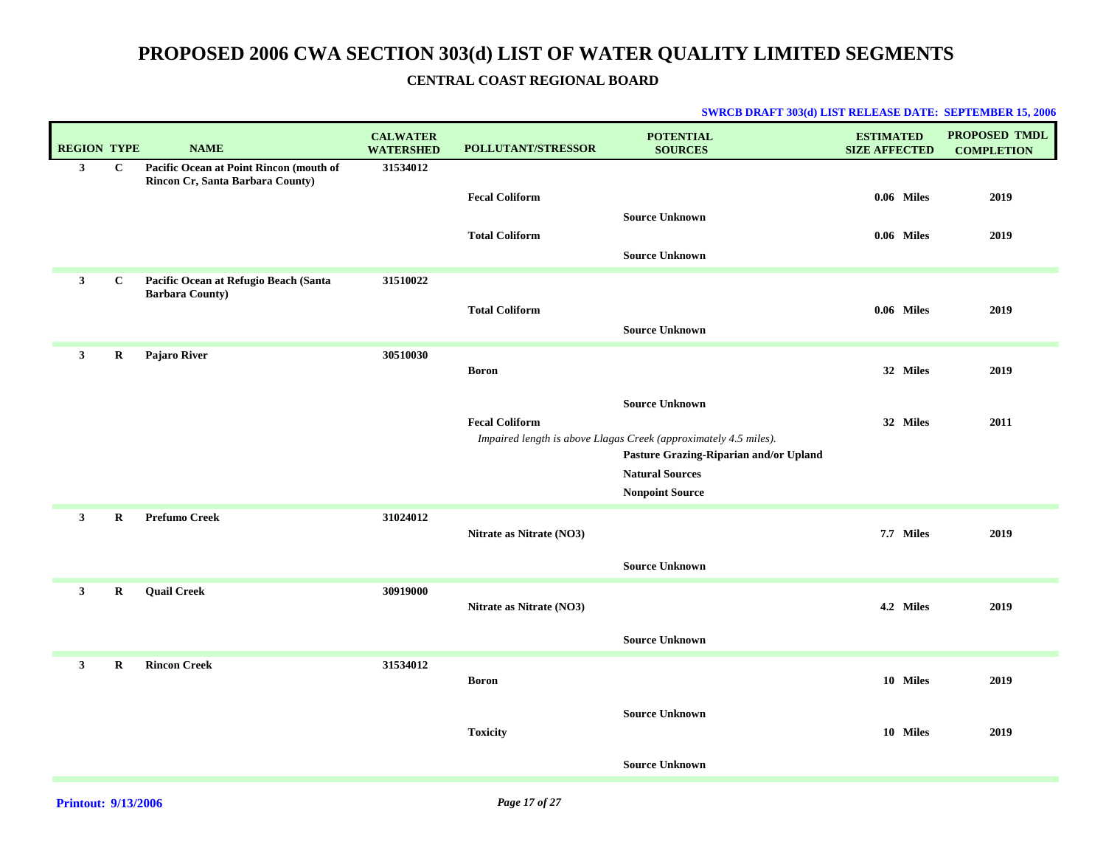### **CENTRAL COAST REGIONAL BOARD**

| <b>REGION TYPE</b> |              | <b>NAME</b>                                                                 | <b>CALWATER</b><br><b>WATERSHED</b> | <b>POLLUTANT/STRESSOR</b> | <b>POTENTIAL</b><br><b>SOURCES</b>                                                                                                  | <b>ESTIMATED</b><br><b>SIZE AFFECTED</b> | PROPOSED TMDL<br><b>COMPLETION</b> |
|--------------------|--------------|-----------------------------------------------------------------------------|-------------------------------------|---------------------------|-------------------------------------------------------------------------------------------------------------------------------------|------------------------------------------|------------------------------------|
| $\mathbf{3}$       | $\mathbf{C}$ | Pacific Ocean at Point Rincon (mouth of<br>Rincon Cr, Santa Barbara County) | 31534012                            | <b>Fecal Coliform</b>     |                                                                                                                                     | 0.06 Miles                               | 2019                               |
|                    |              |                                                                             |                                     | <b>Total Coliform</b>     | <b>Source Unknown</b><br><b>Source Unknown</b>                                                                                      | 0.06 Miles                               | 2019                               |
| $\mathbf{3}$       | $\mathbf C$  | Pacific Ocean at Refugio Beach (Santa<br><b>Barbara County)</b>             | 31510022                            | <b>Total Coliform</b>     |                                                                                                                                     | 0.06 Miles                               | 2019                               |
|                    |              |                                                                             |                                     |                           | <b>Source Unknown</b>                                                                                                               |                                          |                                    |
| $\mathbf{3}$       | R            | Pajaro River                                                                | 30510030                            | <b>Boron</b>              |                                                                                                                                     | 32 Miles                                 | 2019                               |
|                    |              |                                                                             |                                     | <b>Fecal Coliform</b>     | <b>Source Unknown</b><br>Impaired length is above Llagas Creek (approximately 4.5 miles).<br>Pasture Grazing-Riparian and/or Upland | 32 Miles                                 | 2011                               |
|                    |              |                                                                             |                                     |                           | <b>Natural Sources</b><br><b>Nonpoint Source</b>                                                                                    |                                          |                                    |
| $\mathbf{3}$       | $\bf R$      | <b>Prefumo Creek</b>                                                        | 31024012                            | Nitrate as Nitrate (NO3)  |                                                                                                                                     | 7.7 Miles                                | 2019                               |
|                    |              |                                                                             |                                     |                           | <b>Source Unknown</b>                                                                                                               |                                          |                                    |
| $\mathbf{3}$       | $\bf R$      | <b>Quail Creek</b>                                                          | 30919000                            | Nitrate as Nitrate (NO3)  |                                                                                                                                     | 4.2 Miles                                | 2019                               |
|                    |              |                                                                             |                                     |                           | <b>Source Unknown</b>                                                                                                               |                                          |                                    |
| $\mathbf{3}$       | R            | <b>Rincon Creek</b>                                                         | 31534012                            | <b>Boron</b>              |                                                                                                                                     | 10 Miles                                 | 2019                               |
|                    |              |                                                                             |                                     | <b>Toxicity</b>           | <b>Source Unknown</b>                                                                                                               | 10 Miles                                 | 2019                               |
|                    |              |                                                                             |                                     |                           | <b>Source Unknown</b>                                                                                                               |                                          |                                    |
|                    |              |                                                                             |                                     |                           |                                                                                                                                     |                                          |                                    |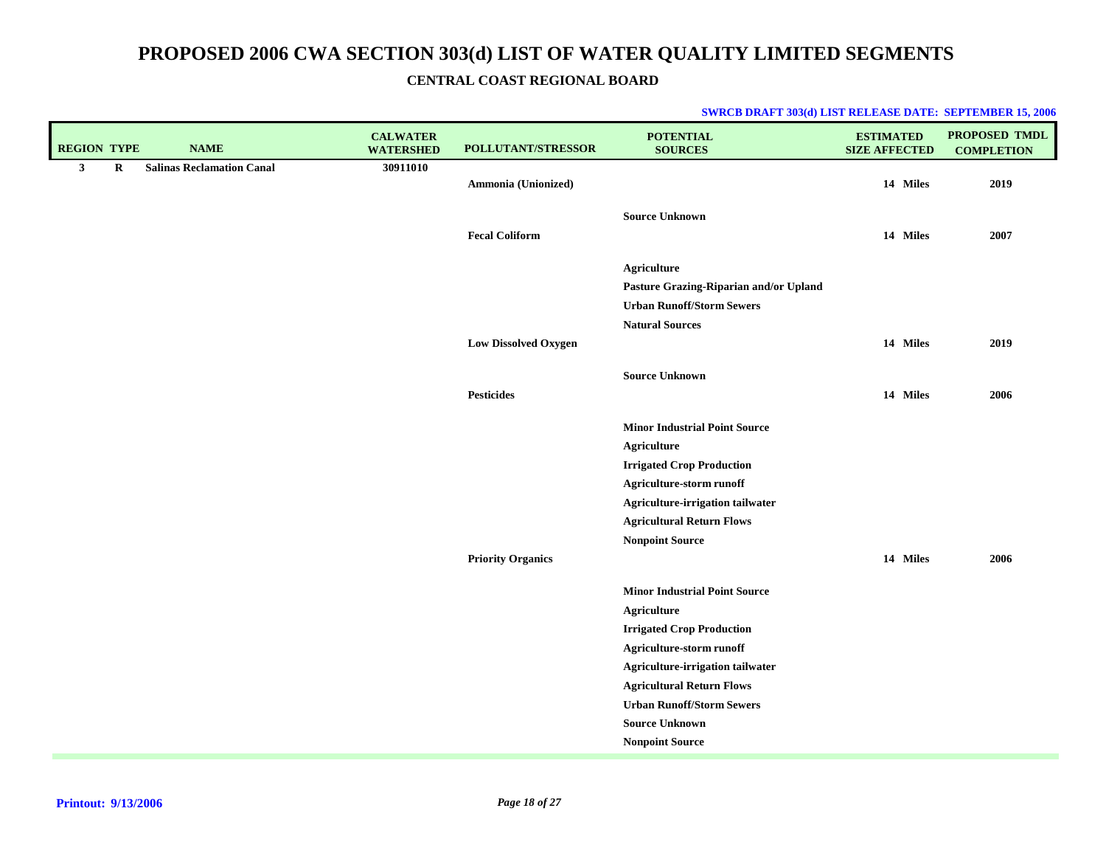|  |  |  | <b>SWRCB DRAFT 303(d) LIST RELEASE DATE: SEPTEMBER 15, 2006</b> |
|--|--|--|-----------------------------------------------------------------|
|--|--|--|-----------------------------------------------------------------|

| <b>REGION TYPE</b> |         | <b>NAME</b>                      | <b>CALWATER</b><br><b>WATERSHED</b> | POLLUTANT/STRESSOR          | <b>POTENTIAL</b><br><b>SOURCES</b>     | <b>ESTIMATED</b><br><b>SIZE AFFECTED</b> | PROPOSED TMDL<br><b>COMPLETION</b> |
|--------------------|---------|----------------------------------|-------------------------------------|-----------------------------|----------------------------------------|------------------------------------------|------------------------------------|
| 3 <sup>1</sup>     | $\bf R$ | <b>Salinas Reclamation Canal</b> | 30911010                            | Ammonia (Unionized)         |                                        | 14 Miles                                 | 2019                               |
|                    |         |                                  |                                     |                             | <b>Source Unknown</b>                  |                                          |                                    |
|                    |         |                                  |                                     | <b>Fecal Coliform</b>       |                                        | 14 Miles                                 | 2007                               |
|                    |         |                                  |                                     |                             | <b>Agriculture</b>                     |                                          |                                    |
|                    |         |                                  |                                     |                             | Pasture Grazing-Riparian and/or Upland |                                          |                                    |
|                    |         |                                  |                                     |                             | <b>Urban Runoff/Storm Sewers</b>       |                                          |                                    |
|                    |         |                                  |                                     |                             | <b>Natural Sources</b>                 |                                          |                                    |
|                    |         |                                  |                                     | <b>Low Dissolved Oxygen</b> |                                        | 14 Miles                                 | 2019                               |
|                    |         |                                  |                                     |                             | <b>Source Unknown</b>                  |                                          |                                    |
|                    |         |                                  |                                     | <b>Pesticides</b>           |                                        | 14 Miles                                 | 2006                               |
|                    |         |                                  |                                     |                             | <b>Minor Industrial Point Source</b>   |                                          |                                    |
|                    |         |                                  |                                     |                             | <b>Agriculture</b>                     |                                          |                                    |
|                    |         |                                  |                                     |                             | <b>Irrigated Crop Production</b>       |                                          |                                    |
|                    |         |                                  |                                     |                             | Agriculture-storm runoff               |                                          |                                    |
|                    |         |                                  |                                     |                             | Agriculture-irrigation tailwater       |                                          |                                    |
|                    |         |                                  |                                     |                             | <b>Agricultural Return Flows</b>       |                                          |                                    |
|                    |         |                                  |                                     |                             | <b>Nonpoint Source</b>                 |                                          |                                    |
|                    |         |                                  |                                     | <b>Priority Organics</b>    |                                        | 14 Miles                                 | 2006                               |
|                    |         |                                  |                                     |                             | <b>Minor Industrial Point Source</b>   |                                          |                                    |
|                    |         |                                  |                                     |                             | <b>Agriculture</b>                     |                                          |                                    |
|                    |         |                                  |                                     |                             | <b>Irrigated Crop Production</b>       |                                          |                                    |
|                    |         |                                  |                                     |                             | Agriculture-storm runoff               |                                          |                                    |
|                    |         |                                  |                                     |                             | Agriculture-irrigation tailwater       |                                          |                                    |
|                    |         |                                  |                                     |                             | <b>Agricultural Return Flows</b>       |                                          |                                    |
|                    |         |                                  |                                     |                             | <b>Urban Runoff/Storm Sewers</b>       |                                          |                                    |
|                    |         |                                  |                                     |                             | <b>Source Unknown</b>                  |                                          |                                    |
|                    |         |                                  |                                     |                             | <b>Nonpoint Source</b>                 |                                          |                                    |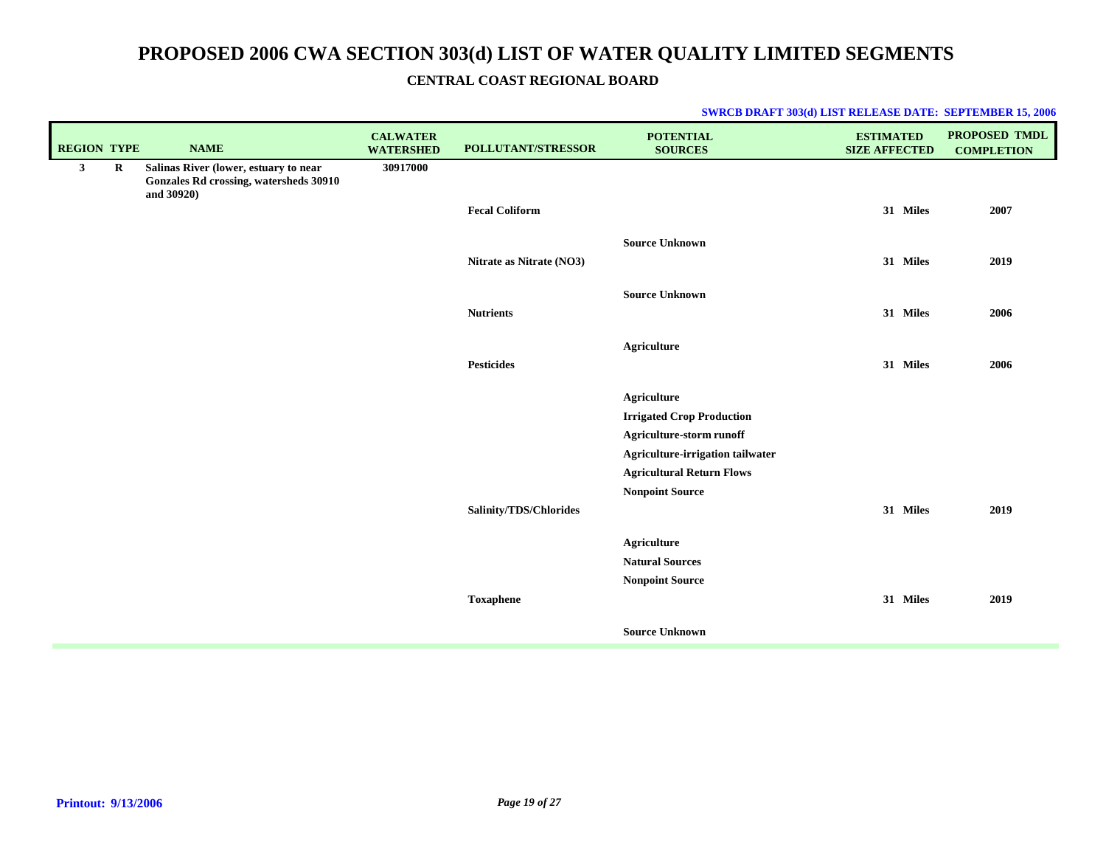### **CENTRAL COAST REGIONAL BOARD**

| <b>REGION TYPE</b> |   | <b>NAME</b>                                                                                   | <b>CALWATER</b><br><b>WATERSHED</b> | POLLUTANT/STRESSOR       | <b>POTENTIAL</b><br><b>SOURCES</b>                           | <b>ESTIMATED</b><br><b>SIZE AFFECTED</b> | PROPOSED TMDL<br><b>COMPLETION</b> |
|--------------------|---|-----------------------------------------------------------------------------------------------|-------------------------------------|--------------------------|--------------------------------------------------------------|------------------------------------------|------------------------------------|
| 3 <sup>1</sup>     | R | Salinas River (lower, estuary to near<br>Gonzales Rd crossing, watersheds 30910<br>and 30920) | 30917000                            |                          |                                                              |                                          |                                    |
|                    |   |                                                                                               |                                     | <b>Fecal Coliform</b>    |                                                              | 31 Miles                                 | 2007                               |
|                    |   |                                                                                               |                                     |                          | <b>Source Unknown</b>                                        |                                          |                                    |
|                    |   |                                                                                               |                                     | Nitrate as Nitrate (NO3) |                                                              | 31 Miles                                 | 2019                               |
|                    |   |                                                                                               |                                     | <b>Nutrients</b>         | <b>Source Unknown</b>                                        | 31 Miles                                 | 2006                               |
|                    |   |                                                                                               |                                     |                          | <b>Agriculture</b>                                           |                                          |                                    |
|                    |   |                                                                                               |                                     | <b>Pesticides</b>        |                                                              | 31 Miles                                 | 2006                               |
|                    |   |                                                                                               |                                     |                          | <b>Agriculture</b>                                           |                                          |                                    |
|                    |   |                                                                                               |                                     |                          | <b>Irrigated Crop Production</b>                             |                                          |                                    |
|                    |   |                                                                                               |                                     |                          | Agriculture-storm runoff<br>Agriculture-irrigation tailwater |                                          |                                    |
|                    |   |                                                                                               |                                     |                          | <b>Agricultural Return Flows</b>                             |                                          |                                    |
|                    |   |                                                                                               |                                     |                          | <b>Nonpoint Source</b>                                       |                                          |                                    |
|                    |   |                                                                                               |                                     | Salinity/TDS/Chlorides   |                                                              | 31 Miles                                 | 2019                               |
|                    |   |                                                                                               |                                     |                          | <b>Agriculture</b>                                           |                                          |                                    |
|                    |   |                                                                                               |                                     |                          | <b>Natural Sources</b>                                       |                                          |                                    |
|                    |   |                                                                                               |                                     |                          | <b>Nonpoint Source</b>                                       |                                          |                                    |
|                    |   |                                                                                               |                                     | <b>Toxaphene</b>         |                                                              | 31 Miles                                 | 2019                               |
|                    |   |                                                                                               |                                     |                          | <b>Source Unknown</b>                                        |                                          |                                    |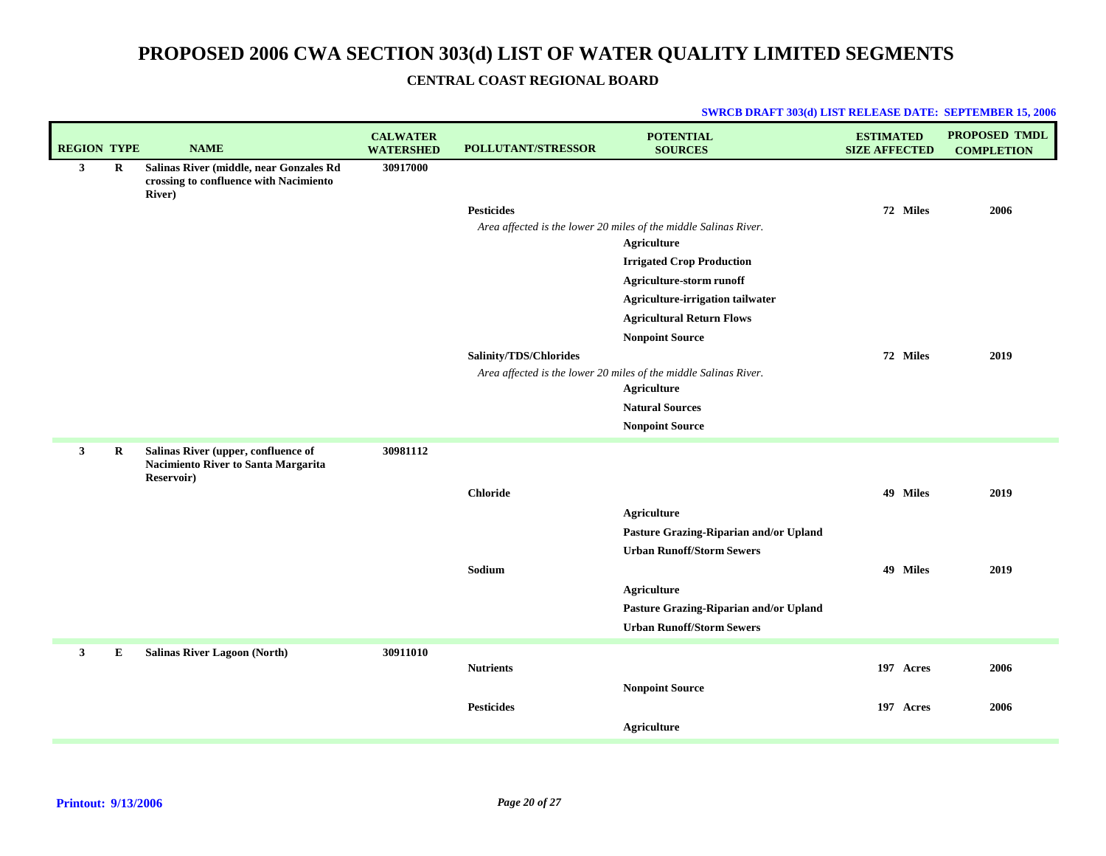### **CENTRAL COAST REGIONAL BOARD**

| <b>REGION TYPE</b> |             | <b>NAME</b>                                                                                         | <b>CALWATER</b><br><b>WATERSHED</b> | POLLUTANT/STRESSOR     | <b>POTENTIAL</b><br><b>SOURCES</b>                                                     | <b>ESTIMATED</b><br><b>SIZE AFFECTED</b> | <b>PROPOSED TMDL</b><br><b>COMPLETION</b> |
|--------------------|-------------|-----------------------------------------------------------------------------------------------------|-------------------------------------|------------------------|----------------------------------------------------------------------------------------|------------------------------------------|-------------------------------------------|
| $\mathbf{3}$       | $\mathbf R$ | Salinas River (middle, near Gonzales Rd<br>crossing to confluence with Nacimiento<br><b>River</b> ) | 30917000                            |                        |                                                                                        |                                          |                                           |
|                    |             |                                                                                                     |                                     | <b>Pesticides</b>      |                                                                                        | 72 Miles                                 | 2006                                      |
|                    |             |                                                                                                     |                                     |                        | Area affected is the lower 20 miles of the middle Salinas River.                       |                                          |                                           |
|                    |             |                                                                                                     |                                     |                        | <b>Agriculture</b>                                                                     |                                          |                                           |
|                    |             |                                                                                                     |                                     |                        | <b>Irrigated Crop Production</b>                                                       |                                          |                                           |
|                    |             |                                                                                                     |                                     |                        | Agriculture-storm runoff                                                               |                                          |                                           |
|                    |             |                                                                                                     |                                     |                        | Agriculture-irrigation tailwater                                                       |                                          |                                           |
|                    |             |                                                                                                     |                                     |                        | <b>Agricultural Return Flows</b>                                                       |                                          |                                           |
|                    |             |                                                                                                     |                                     |                        | <b>Nonpoint Source</b>                                                                 |                                          |                                           |
|                    |             |                                                                                                     |                                     | Salinity/TDS/Chlorides |                                                                                        | 72 Miles                                 | 2019                                      |
|                    |             |                                                                                                     |                                     |                        | Area affected is the lower 20 miles of the middle Salinas River.<br><b>Agriculture</b> |                                          |                                           |
|                    |             |                                                                                                     |                                     |                        | <b>Natural Sources</b>                                                                 |                                          |                                           |
|                    |             |                                                                                                     |                                     |                        | <b>Nonpoint Source</b>                                                                 |                                          |                                           |
|                    |             |                                                                                                     |                                     |                        |                                                                                        |                                          |                                           |
| 3                  | R           | Salinas River (upper, confluence of<br>Nacimiento River to Santa Margarita<br>Reservoir)            | 30981112                            |                        |                                                                                        |                                          |                                           |
|                    |             |                                                                                                     |                                     | <b>Chloride</b>        |                                                                                        | 49 Miles                                 | 2019                                      |
|                    |             |                                                                                                     |                                     |                        | <b>Agriculture</b>                                                                     |                                          |                                           |
|                    |             |                                                                                                     |                                     |                        | Pasture Grazing-Riparian and/or Upland                                                 |                                          |                                           |
|                    |             |                                                                                                     |                                     |                        | <b>Urban Runoff/Storm Sewers</b>                                                       |                                          |                                           |
|                    |             |                                                                                                     |                                     | Sodium                 |                                                                                        | 49 Miles                                 | 2019                                      |
|                    |             |                                                                                                     |                                     |                        | <b>Agriculture</b>                                                                     |                                          |                                           |
|                    |             |                                                                                                     |                                     |                        | Pasture Grazing-Riparian and/or Upland                                                 |                                          |                                           |
|                    |             |                                                                                                     |                                     |                        | <b>Urban Runoff/Storm Sewers</b>                                                       |                                          |                                           |
| $\mathbf{3}$       | E           | <b>Salinas River Lagoon (North)</b>                                                                 | 30911010                            |                        |                                                                                        |                                          |                                           |
|                    |             |                                                                                                     |                                     | <b>Nutrients</b>       |                                                                                        | 197 Acres                                | 2006                                      |
|                    |             |                                                                                                     |                                     |                        | <b>Nonpoint Source</b>                                                                 |                                          |                                           |
|                    |             |                                                                                                     |                                     | Pesticides             |                                                                                        | 197 Acres                                | 2006                                      |
|                    |             |                                                                                                     |                                     |                        | <b>Agriculture</b>                                                                     |                                          |                                           |
|                    |             |                                                                                                     |                                     |                        |                                                                                        |                                          |                                           |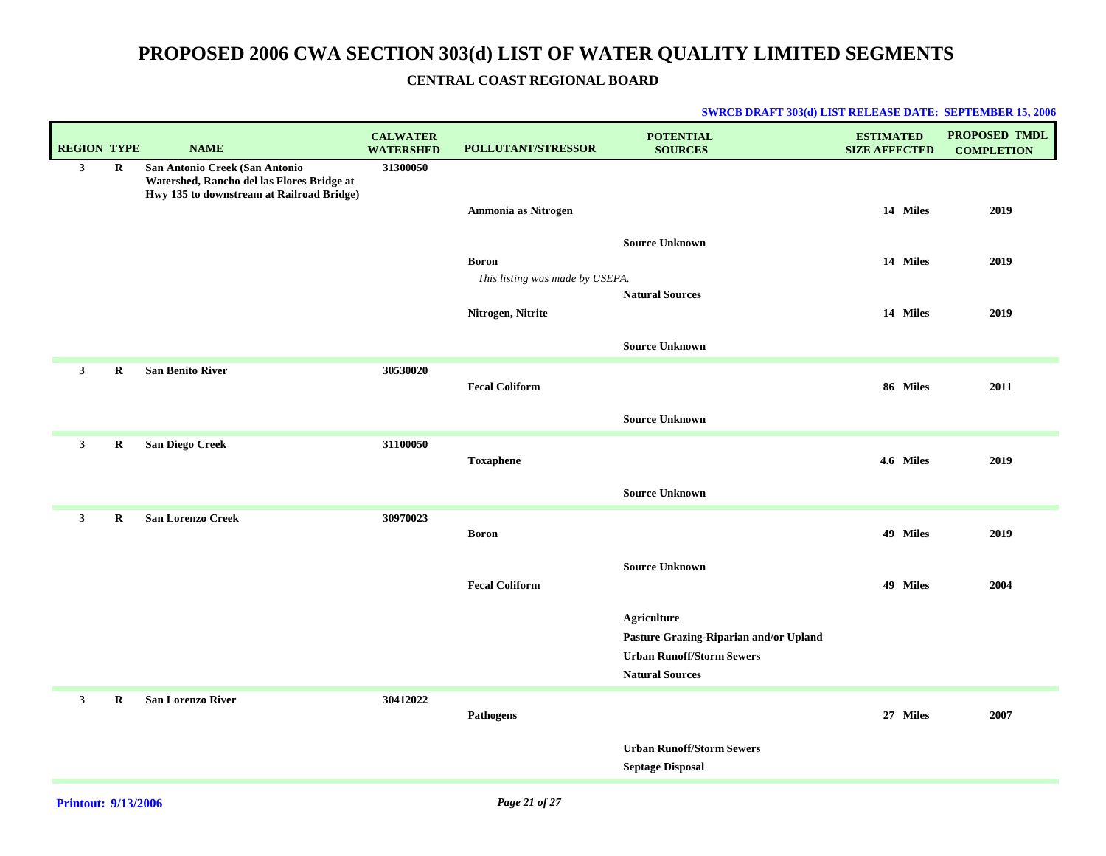### **CENTRAL COAST REGIONAL BOARD**

| <b>REGION TYPE</b> | <b>NAME</b>                                | <b>CALWATER</b><br><b>WATERSHED</b>                                                                   | POLLUTANT/STRESSOR    | <b>POTENTIAL</b><br><b>SOURCES</b>                                                                                         | <b>ESTIMATED</b><br><b>SIZE AFFECTED</b>                 | <b>PROPOSED TMDL</b><br><b>COMPLETION</b> |
|--------------------|--------------------------------------------|-------------------------------------------------------------------------------------------------------|-----------------------|----------------------------------------------------------------------------------------------------------------------------|----------------------------------------------------------|-------------------------------------------|
| $\mathbf R$        | Watershed, Rancho del las Flores Bridge at | 31300050                                                                                              |                       |                                                                                                                            |                                                          | 2019                                      |
|                    |                                            |                                                                                                       |                       |                                                                                                                            |                                                          |                                           |
|                    |                                            |                                                                                                       | <b>Boron</b>          |                                                                                                                            | 14 Miles                                                 | 2019                                      |
|                    |                                            |                                                                                                       | Nitrogen, Nitrite     | <b>Natural Sources</b>                                                                                                     | 14 Miles                                                 | 2019                                      |
|                    |                                            |                                                                                                       |                       | <b>Source Unknown</b>                                                                                                      |                                                          |                                           |
| $\mathbf R$        | <b>San Benito River</b>                    | 30530020                                                                                              | <b>Fecal Coliform</b> |                                                                                                                            | 86 Miles                                                 | 2011                                      |
|                    |                                            |                                                                                                       |                       | <b>Source Unknown</b>                                                                                                      |                                                          |                                           |
| $\bf R$            |                                            | 31100050                                                                                              | <b>Toxaphene</b>      |                                                                                                                            | 4.6 Miles                                                | 2019                                      |
|                    |                                            |                                                                                                       |                       | <b>Source Unknown</b>                                                                                                      |                                                          |                                           |
| $\bf R$            | <b>San Lorenzo Creek</b>                   | 30970023                                                                                              | <b>Boron</b>          |                                                                                                                            | 49 Miles                                                 | 2019                                      |
|                    |                                            |                                                                                                       | <b>Fecal Coliform</b> | <b>Source Unknown</b>                                                                                                      | 49 Miles                                                 | 2004                                      |
|                    |                                            |                                                                                                       |                       | <b>Agriculture</b><br>Pasture Grazing-Riparian and/or Upland<br><b>Urban Runoff/Storm Sewers</b><br><b>Natural Sources</b> |                                                          |                                           |
| $\mathbf R$        | <b>San Lorenzo River</b>                   | 30412022                                                                                              | Pathogens             |                                                                                                                            | 27 Miles                                                 | 2007                                      |
|                    |                                            |                                                                                                       |                       | <b>Urban Runoff/Storm Sewers</b><br><b>Septage Disposal</b>                                                                |                                                          |                                           |
|                    |                                            | San Antonio Creek (San Antonio<br>Hwy 135 to downstream at Railroad Bridge)<br><b>San Diego Creek</b> |                       | Ammonia as Nitrogen                                                                                                        | <b>Source Unknown</b><br>This listing was made by USEPA. | 14 Miles                                  |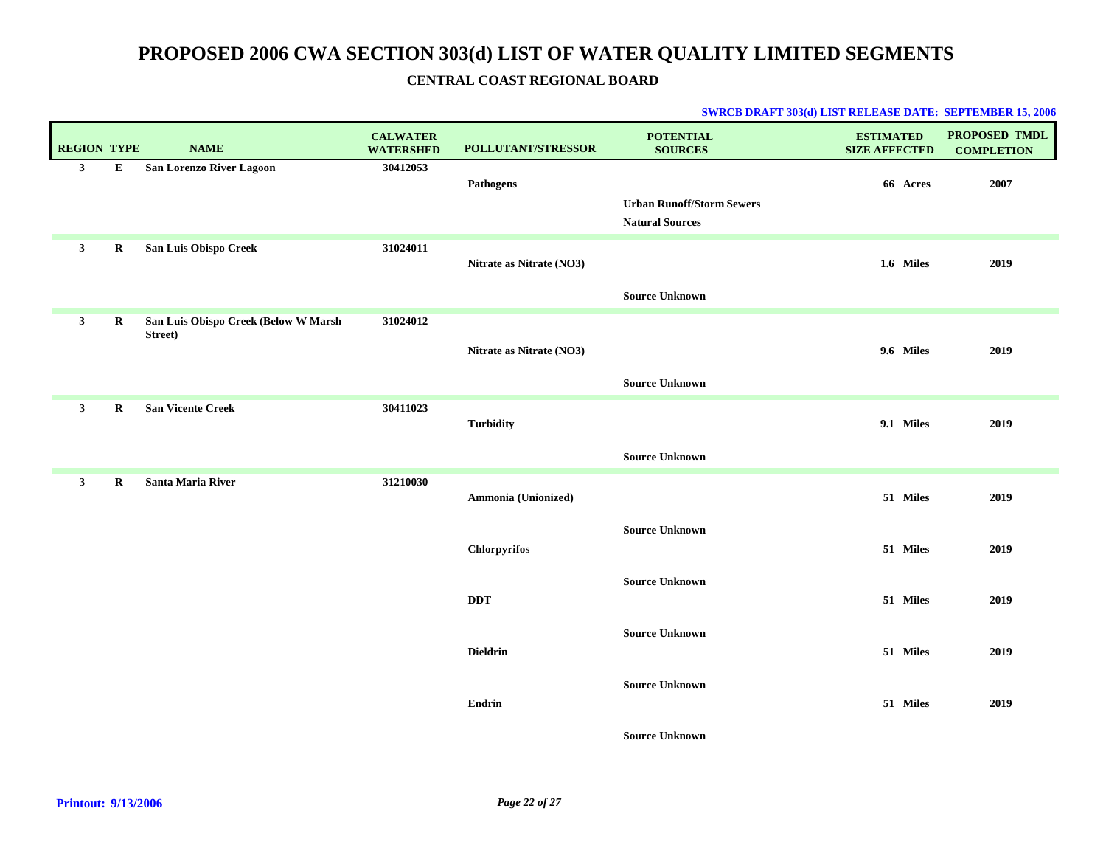| <b>REGION TYPE</b> |             | <b>NAME</b>                                     | <b>CALWATER</b><br><b>WATERSHED</b> | POLLUTANT/STRESSOR       | <b>POTENTIAL</b><br><b>SOURCES</b>                         | <b>ESTIMATED</b><br><b>SIZE AFFECTED</b> | PROPOSED TMDL<br><b>COMPLETION</b> |
|--------------------|-------------|-------------------------------------------------|-------------------------------------|--------------------------|------------------------------------------------------------|------------------------------------------|------------------------------------|
| 3 <sup>1</sup>     | E           | San Lorenzo River Lagoon                        | 30412053                            | <b>Pathogens</b>         | <b>Urban Runoff/Storm Sewers</b><br><b>Natural Sources</b> | 66 Acres                                 | 2007                               |
| $\mathbf{3}$       | R           | San Luis Obispo Creek                           | 31024011                            | Nitrate as Nitrate (NO3) | <b>Source Unknown</b>                                      | 1.6 Miles                                | 2019                               |
| $\mathbf{3}$       | $\bf R$     | San Luis Obispo Creek (Below W Marsh<br>Street) | 31024012                            | Nitrate as Nitrate (NO3) | <b>Source Unknown</b>                                      | 9.6 Miles                                | 2019                               |
| $\mathbf{3}$       | $\mathbf R$ | <b>San Vicente Creek</b>                        | 30411023                            | <b>Turbidity</b>         | <b>Source Unknown</b>                                      | 9.1 Miles                                | 2019                               |
| $\mathbf{3}$       | $\mathbf R$ | <b>Santa Maria River</b>                        | 31210030                            | Ammonia (Unionized)      |                                                            | 51 Miles                                 | 2019                               |
|                    |             |                                                 |                                     | <b>Chlorpyrifos</b>      | <b>Source Unknown</b>                                      | 51 Miles                                 | 2019                               |
|                    |             |                                                 |                                     | <b>DDT</b>               | <b>Source Unknown</b>                                      | 51 Miles                                 | 2019                               |
|                    |             |                                                 |                                     | <b>Dieldrin</b>          | <b>Source Unknown</b>                                      | 51 Miles                                 | 2019                               |
|                    |             |                                                 |                                     | <b>Endrin</b>            | <b>Source Unknown</b>                                      | 51 Miles                                 | 2019                               |
|                    |             |                                                 |                                     |                          | <b>Source Unknown</b>                                      |                                          |                                    |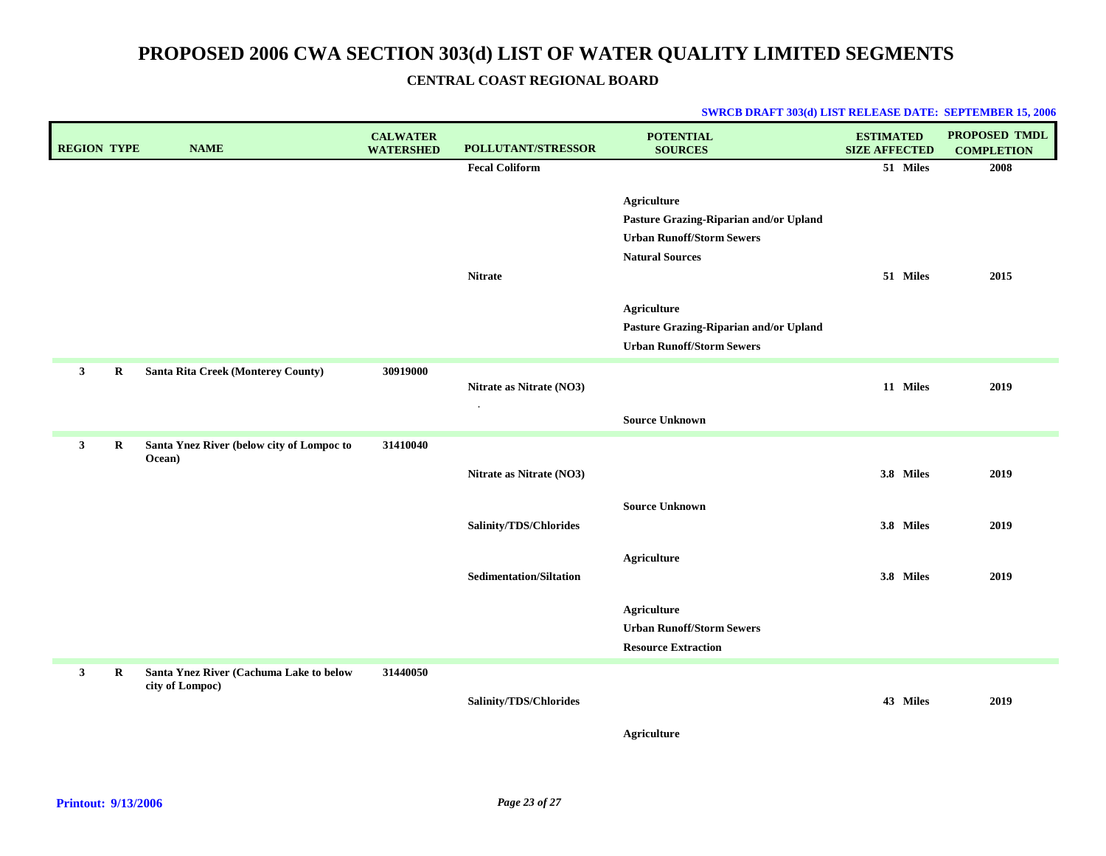| <b>REGION TYPE</b> | <b>NAME</b>                                                | <b>CALWATER</b><br><b>WATERSHED</b> | POLLUTANT/STRESSOR             | <b>POTENTIAL</b><br><b>SOURCES</b>                                                                                         | <b>ESTIMATED</b><br><b>SIZE AFFECTED</b> | <b>PROPOSED TMDL</b><br><b>COMPLETION</b> |
|--------------------|------------------------------------------------------------|-------------------------------------|--------------------------------|----------------------------------------------------------------------------------------------------------------------------|------------------------------------------|-------------------------------------------|
|                    |                                                            |                                     | <b>Fecal Coliform</b>          |                                                                                                                            | 51 Miles                                 | 2008                                      |
|                    |                                                            |                                     | <b>Nitrate</b>                 | <b>Agriculture</b><br>Pasture Grazing-Riparian and/or Upland<br><b>Urban Runoff/Storm Sewers</b><br><b>Natural Sources</b> | 51 Miles                                 | 2015                                      |
|                    |                                                            |                                     |                                | <b>Agriculture</b>                                                                                                         |                                          |                                           |
|                    |                                                            |                                     |                                | Pasture Grazing-Riparian and/or Upland                                                                                     |                                          |                                           |
|                    |                                                            |                                     |                                | <b>Urban Runoff/Storm Sewers</b>                                                                                           |                                          |                                           |
| 3<br>$\bf R$       | Santa Rita Creek (Monterey County)                         | 30919000                            | Nitrate as Nitrate (NO3)       |                                                                                                                            | 11 Miles                                 | 2019                                      |
|                    |                                                            |                                     |                                | <b>Source Unknown</b>                                                                                                      |                                          |                                           |
| 3<br>$\bf R$       | Santa Ynez River (below city of Lompoc to                  | 31410040                            |                                |                                                                                                                            |                                          |                                           |
|                    | Ocean)                                                     |                                     | Nitrate as Nitrate (NO3)       |                                                                                                                            | 3.8 Miles                                | 2019                                      |
|                    |                                                            |                                     | Salinity/TDS/Chlorides         | <b>Source Unknown</b>                                                                                                      | 3.8 Miles                                | 2019                                      |
|                    |                                                            |                                     | <b>Sedimentation/Siltation</b> | <b>Agriculture</b>                                                                                                         | 3.8 Miles                                | 2019                                      |
|                    |                                                            |                                     |                                | <b>Agriculture</b><br><b>Urban Runoff/Storm Sewers</b><br><b>Resource Extraction</b>                                       |                                          |                                           |
| 3<br>$\mathbf R$   | Santa Ynez River (Cachuma Lake to below<br>city of Lompoc) | 31440050                            | Salinity/TDS/Chlorides         |                                                                                                                            | 43 Miles                                 | 2019                                      |
|                    |                                                            |                                     |                                | <b>Agriculture</b>                                                                                                         |                                          |                                           |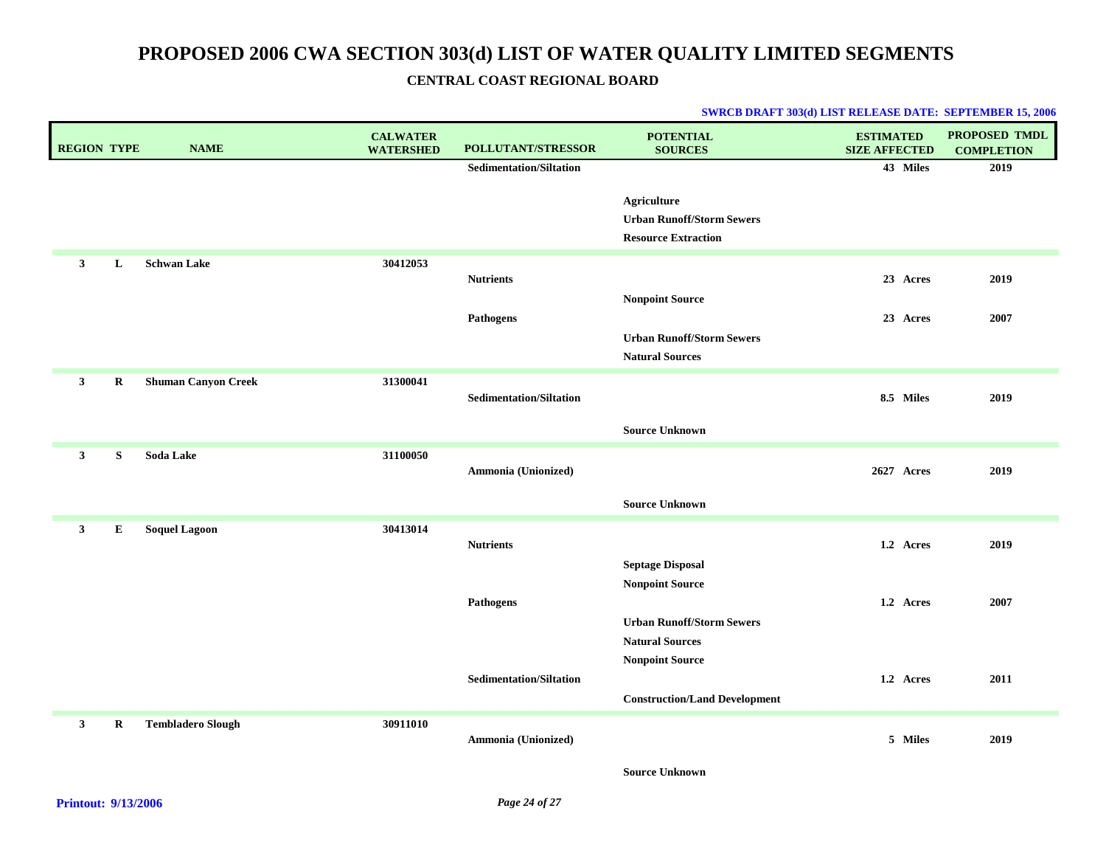| <b>REGION TYPE</b> |             | <b>NAME</b>                | <b>CALWATER</b><br><b>WATERSHED</b> | POLLUTANT/STRESSOR             | <b>POTENTIAL</b><br><b>SOURCES</b>                | <b>ESTIMATED</b><br><b>SIZE AFFECTED</b> | PROPOSED TMDL<br><b>COMPLETION</b> |
|--------------------|-------------|----------------------------|-------------------------------------|--------------------------------|---------------------------------------------------|------------------------------------------|------------------------------------|
|                    |             |                            |                                     | <b>Sedimentation/Siltation</b> |                                                   | 43 Miles                                 | 2019                               |
|                    |             |                            |                                     |                                | <b>Agriculture</b>                                |                                          |                                    |
|                    |             |                            |                                     |                                | <b>Urban Runoff/Storm Sewers</b>                  |                                          |                                    |
|                    |             |                            |                                     |                                | <b>Resource Extraction</b>                        |                                          |                                    |
| $\mathbf{3}$       | L           | <b>Schwan Lake</b>         | 30412053                            | <b>Nutrients</b>               |                                                   | 23 Acres                                 | 2019                               |
|                    |             |                            |                                     |                                | <b>Nonpoint Source</b>                            |                                          |                                    |
|                    |             |                            |                                     | Pathogens                      |                                                   | 23 Acres                                 | 2007                               |
|                    |             |                            |                                     |                                | <b>Urban Runoff/Storm Sewers</b>                  |                                          |                                    |
|                    |             |                            |                                     |                                | <b>Natural Sources</b>                            |                                          |                                    |
| $\mathbf{3}$       | $\bf R$     | <b>Shuman Canyon Creek</b> | 31300041                            |                                |                                                   |                                          |                                    |
|                    |             |                            |                                     | <b>Sedimentation/Siltation</b> |                                                   | 8.5 Miles                                | 2019                               |
|                    |             |                            |                                     |                                | <b>Source Unknown</b>                             |                                          |                                    |
| $\mathbf{3}$       | ${\bf S}$   | Soda Lake                  | 31100050                            |                                |                                                   |                                          |                                    |
|                    |             |                            |                                     | Ammonia (Unionized)            |                                                   | 2627 Acres                               | 2019                               |
|                    |             |                            |                                     |                                | <b>Source Unknown</b>                             |                                          |                                    |
| $\mathbf{3}$       | $\bf{E}$    | <b>Soquel Lagoon</b>       | 30413014                            |                                |                                                   |                                          |                                    |
|                    |             |                            |                                     | <b>Nutrients</b>               |                                                   | 1.2 Acres                                | 2019                               |
|                    |             |                            |                                     |                                | <b>Septage Disposal</b><br><b>Nonpoint Source</b> |                                          |                                    |
|                    |             |                            |                                     | Pathogens                      |                                                   | 1.2 Acres                                | 2007                               |
|                    |             |                            |                                     |                                | <b>Urban Runoff/Storm Sewers</b>                  |                                          |                                    |
|                    |             |                            |                                     |                                | <b>Natural Sources</b>                            |                                          |                                    |
|                    |             |                            |                                     |                                | <b>Nonpoint Source</b>                            |                                          |                                    |
|                    |             |                            |                                     | <b>Sedimentation/Siltation</b> |                                                   | 1.2 Acres                                | 2011                               |
|                    |             |                            |                                     |                                | <b>Construction/Land Development</b>              |                                          |                                    |
| $\mathbf{3}$       | $\mathbf R$ | <b>Tembladero Slough</b>   | 30911010                            |                                |                                                   |                                          |                                    |
|                    |             |                            |                                     | Ammonia (Unionized)            |                                                   | 5 Miles                                  | 2019                               |
|                    |             |                            |                                     |                                | <b>Source Unknown</b>                             |                                          |                                    |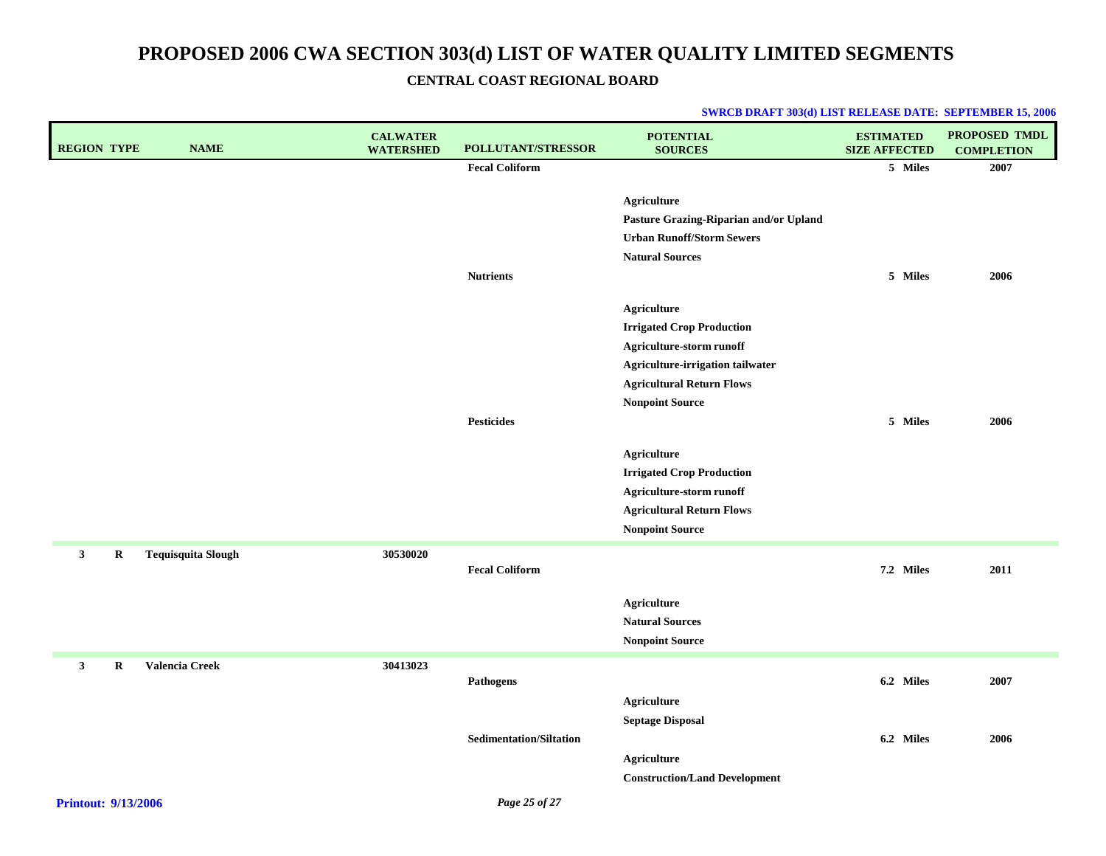| <b>REGION TYPE</b>          | <b>NAME</b>               | <b>CALWATER</b><br><b>WATERSHED</b> | POLLUTANT/STRESSOR             | <b>POTENTIAL</b><br><b>SOURCES</b>     | <b>ESTIMATED</b><br><b>SIZE AFFECTED</b> | PROPOSED TMDL<br><b>COMPLETION</b> |
|-----------------------------|---------------------------|-------------------------------------|--------------------------------|----------------------------------------|------------------------------------------|------------------------------------|
|                             |                           |                                     | <b>Fecal Coliform</b>          |                                        | 5 Miles                                  | 2007                               |
|                             |                           |                                     |                                | <b>Agriculture</b>                     |                                          |                                    |
|                             |                           |                                     |                                | Pasture Grazing-Riparian and/or Upland |                                          |                                    |
|                             |                           |                                     |                                | <b>Urban Runoff/Storm Sewers</b>       |                                          |                                    |
|                             |                           |                                     |                                | <b>Natural Sources</b>                 |                                          |                                    |
|                             |                           |                                     | <b>Nutrients</b>               |                                        | 5 Miles                                  | 2006                               |
|                             |                           |                                     |                                |                                        |                                          |                                    |
|                             |                           |                                     |                                | <b>Agriculture</b>                     |                                          |                                    |
|                             |                           |                                     |                                | <b>Irrigated Crop Production</b>       |                                          |                                    |
|                             |                           |                                     |                                | Agriculture-storm runoff               |                                          |                                    |
|                             |                           |                                     |                                | Agriculture-irrigation tailwater       |                                          |                                    |
|                             |                           |                                     |                                | <b>Agricultural Return Flows</b>       |                                          |                                    |
|                             |                           |                                     |                                | <b>Nonpoint Source</b>                 |                                          |                                    |
|                             |                           |                                     | <b>Pesticides</b>              |                                        | 5 Miles                                  | 2006                               |
|                             |                           |                                     |                                | <b>Agriculture</b>                     |                                          |                                    |
|                             |                           |                                     |                                | <b>Irrigated Crop Production</b>       |                                          |                                    |
|                             |                           |                                     |                                | Agriculture-storm runoff               |                                          |                                    |
|                             |                           |                                     |                                | <b>Agricultural Return Flows</b>       |                                          |                                    |
|                             |                           |                                     |                                | <b>Nonpoint Source</b>                 |                                          |                                    |
| $\mathbf{3}$<br>$\mathbf R$ | <b>Tequisquita Slough</b> | 30530020                            |                                |                                        |                                          |                                    |
|                             |                           |                                     | <b>Fecal Coliform</b>          |                                        | 7.2 Miles                                | 2011                               |
|                             |                           |                                     |                                |                                        |                                          |                                    |
|                             |                           |                                     |                                | <b>Agriculture</b>                     |                                          |                                    |
|                             |                           |                                     |                                | <b>Natural Sources</b>                 |                                          |                                    |
|                             |                           |                                     |                                | <b>Nonpoint Source</b>                 |                                          |                                    |
| $\mathbf{3}$<br>R           | Valencia Creek            | 30413023                            |                                |                                        |                                          |                                    |
|                             |                           |                                     | Pathogens                      |                                        | 6.2 Miles                                | 2007                               |
|                             |                           |                                     |                                | <b>Agriculture</b>                     |                                          |                                    |
|                             |                           |                                     |                                | <b>Septage Disposal</b>                |                                          |                                    |
|                             |                           |                                     | <b>Sedimentation/Siltation</b> |                                        | 6.2 Miles                                | 2006                               |
|                             |                           |                                     |                                | <b>Agriculture</b>                     |                                          |                                    |
|                             |                           |                                     |                                | <b>Construction/Land Development</b>   |                                          |                                    |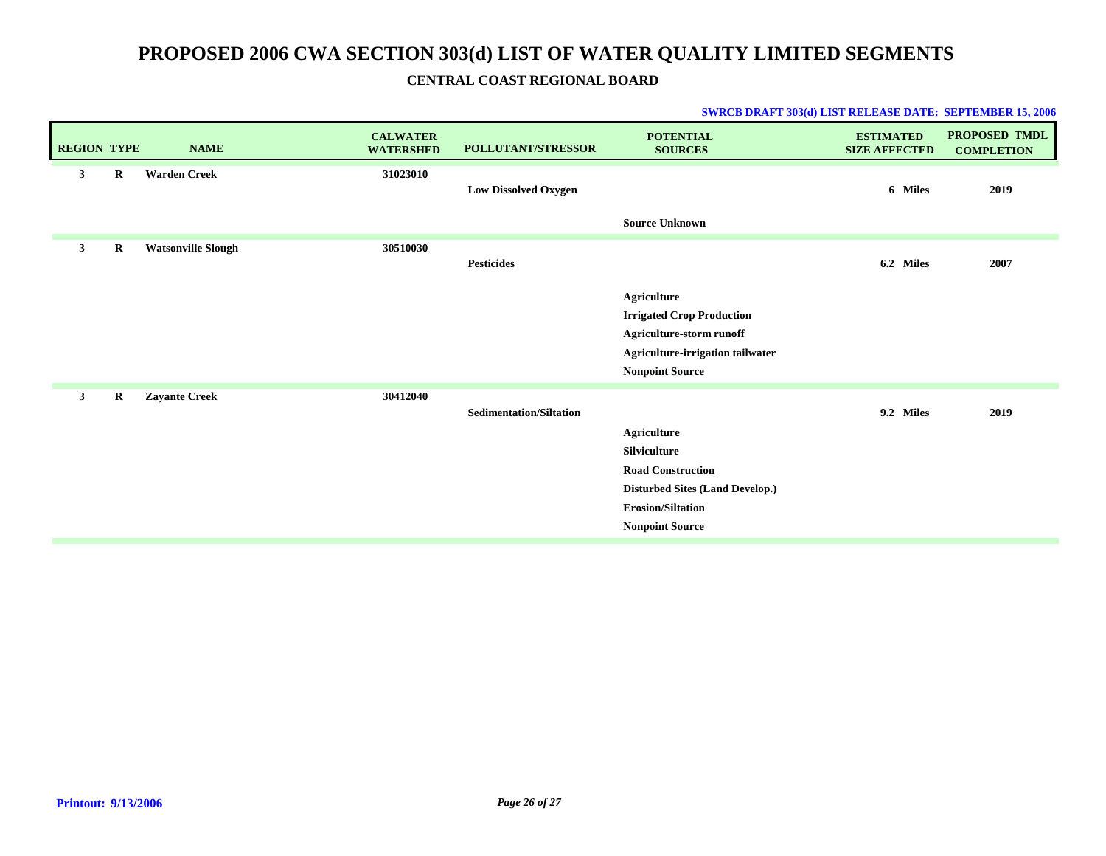| <b>REGION TYPE</b> |         | <b>NAME</b>               | <b>CALWATER</b><br><b>WATERSHED</b> | POLLUTANT/STRESSOR             | <b>POTENTIAL</b><br><b>SOURCES</b>                                                                                                                      | <b>ESTIMATED</b><br><b>SIZE AFFECTED</b> | PROPOSED TMDL<br><b>COMPLETION</b> |
|--------------------|---------|---------------------------|-------------------------------------|--------------------------------|---------------------------------------------------------------------------------------------------------------------------------------------------------|------------------------------------------|------------------------------------|
| 3                  | R       | <b>Warden Creek</b>       | 31023010                            | <b>Low Dissolved Oxygen</b>    | <b>Source Unknown</b>                                                                                                                                   | 6 Miles                                  | 2019                               |
| $\mathbf{3}$       | $\bf R$ | <b>Watsonville Slough</b> | 30510030                            | <b>Pesticides</b>              |                                                                                                                                                         | 6.2 Miles                                | 2007                               |
|                    |         |                           |                                     |                                | Agriculture<br><b>Irrigated Crop Production</b><br>Agriculture-storm runoff<br>Agriculture-irrigation tailwater<br><b>Nonpoint Source</b>               |                                          |                                    |
| $\mathbf{3}$       | R       | <b>Zayante Creek</b>      | 30412040                            | <b>Sedimentation/Siltation</b> | <b>Agriculture</b><br>Silviculture<br><b>Road Construction</b><br>Disturbed Sites (Land Develop.)<br><b>Erosion/Siltation</b><br><b>Nonpoint Source</b> | 9.2 Miles                                | 2019                               |